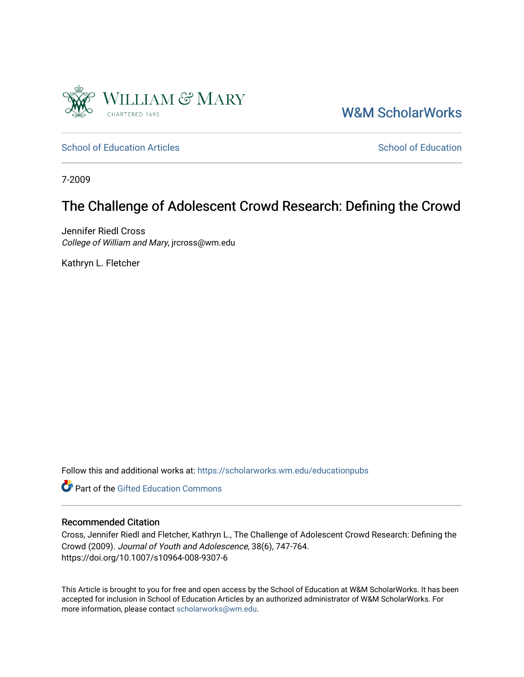

[W&M ScholarWorks](https://scholarworks.wm.edu/) 

[School of Education Articles](https://scholarworks.wm.edu/educationpubs) [School of Education](https://scholarworks.wm.edu/education) School of Education

7-2009

# The Challenge of Adolescent Crowd Research: Defining the Crowd

Jennifer Riedl Cross College of William and Mary, jrcross@wm.edu

Kathryn L. Fletcher

Follow this and additional works at: [https://scholarworks.wm.edu/educationpubs](https://scholarworks.wm.edu/educationpubs?utm_source=scholarworks.wm.edu%2Feducationpubs%2F135&utm_medium=PDF&utm_campaign=PDFCoverPages) 

**Part of the Gifted Education Commons** 

#### Recommended Citation

Cross, Jennifer Riedl and Fletcher, Kathryn L., The Challenge of Adolescent Crowd Research: Defining the Crowd (2009). Journal of Youth and Adolescence, 38(6), 747-764. https://doi.org/10.1007/s10964-008-9307-6

This Article is brought to you for free and open access by the School of Education at W&M ScholarWorks. It has been accepted for inclusion in School of Education Articles by an authorized administrator of W&M ScholarWorks. For more information, please contact [scholarworks@wm.edu](mailto:scholarworks@wm.edu).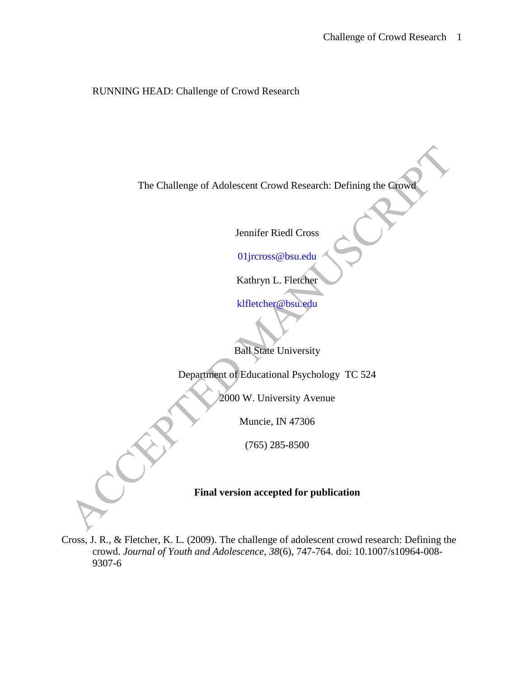## RUNNING HEAD: Challenge of Crowd Research

The Challenge of Adolescent Crowd Research: Defining the Crowd

Jennifer Riedl Cross

01jrcross@bsu.edu

Kathryn L. Fletcher

klfletcher@bsu.edu

Ball State University

Department of Educational Psychology TC 524

2000 W. University Avenue

Muncie, IN 47306

(765) 285-8500

## **Final version accepted for publication**

Cross, J. R., & Fletcher, K. L. (2009). The challenge of adolescent crowd research: Defining the crowd. *Journal of Youth and Adolescence*, *38*(6), 747-764. doi: 10.1007/s10964-008- 9307-6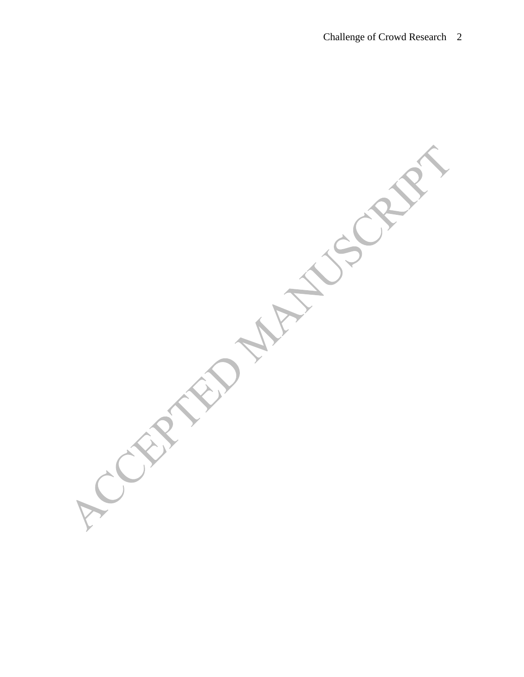Challenge of Crowd Research 2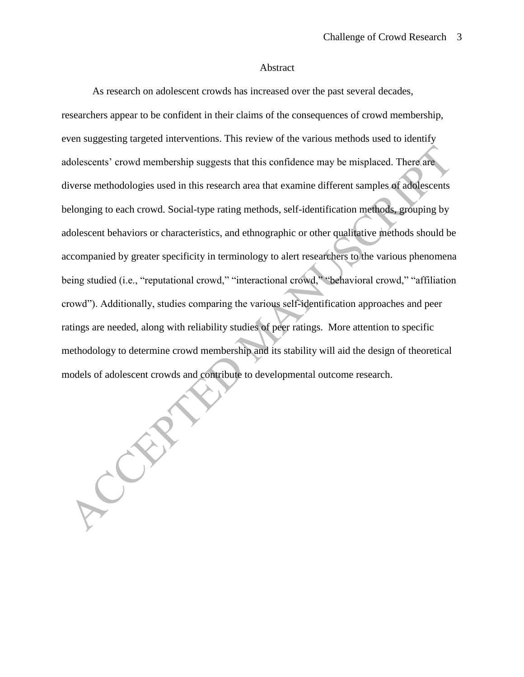#### Abstract

As research on adolescent crowds has increased over the past several decades, researchers appear to be confident in their claims of the consequences of crowd membership, even suggesting targeted interventions. This review of the various methods used to identify adolescents' crowd membership suggests that this confidence may be misplaced. There are diverse methodologies used in this research area that examine different samples of adolescents belonging to each crowd. Social-type rating methods, self-identification methods, grouping by adolescent behaviors or characteristics, and ethnographic or other qualitative methods should be accompanied by greater specificity in terminology to alert researchers to the various phenomena being studied (i.e., "reputational crowd," "interactional crowd," "behavioral crowd," "affiliation crowd"). Additionally, studies comparing the various self-identification approaches and peer ratings are needed, along with reliability studies of peer ratings. More attention to specific methodology to determine crowd membership and its stability will aid the design of theoretical models of adolescent crowds and contribute to developmental outcome research.

CERT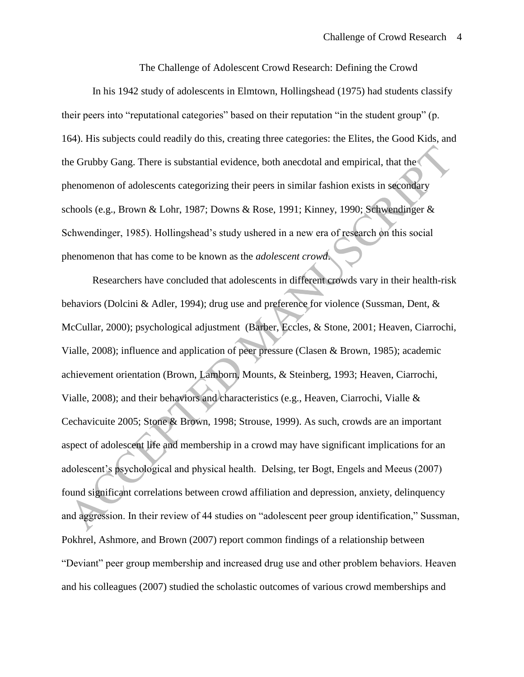The Challenge of Adolescent Crowd Research: Defining the Crowd

In his 1942 study of adolescents in Elmtown, Hollingshead (1975) had students classify their peers into "reputational categories" based on their reputation "in the student group" (p. 164). His subjects could readily do this, creating three categories: the Elites, the Good Kids, and the Grubby Gang. There is substantial evidence, both anecdotal and empirical, that the phenomenon of adolescents categorizing their peers in similar fashion exists in secondary schools (e.g., Brown & Lohr, 1987; Downs & Rose, 1991; Kinney, 1990; Schwendinger & Schwendinger, 1985). Hollingshead's study ushered in a new era of research on this social phenomenon that has come to be known as the *adolescent crowd*.

Researchers have concluded that adolescents in different crowds vary in their health-risk behaviors (Dolcini & Adler, 1994); drug use and preference for violence (Sussman, Dent, & McCullar, 2000); psychological adjustment (Barber, Eccles, & Stone, 2001; Heaven, Ciarrochi, Vialle, 2008); influence and application of peer pressure (Clasen & Brown, 1985); academic achievement orientation (Brown, Lamborn, Mounts, & Steinberg, 1993; Heaven, Ciarrochi, Vialle, 2008); and their behaviors and characteristics (e.g., Heaven, Ciarrochi, Vialle & Cechavicuite 2005; Stone & Brown, 1998; Strouse, 1999). As such, crowds are an important aspect of adolescent life and membership in a crowd may have significant implications for an adolescent's psychological and physical health. Delsing, ter Bogt, Engels and Meeus (2007) found significant correlations between crowd affiliation and depression, anxiety, delinquency and aggression. In their review of 44 studies on "adolescent peer group identification," Sussman, Pokhrel, Ashmore, and Brown (2007) report common findings of a relationship between "Deviant" peer group membership and increased drug use and other problem behaviors. Heaven and his colleagues (2007) studied the scholastic outcomes of various crowd memberships and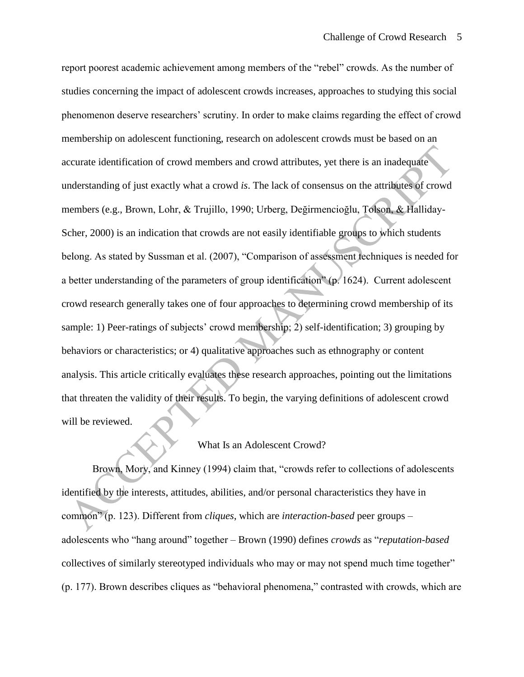report poorest academic achievement among members of the "rebel" crowds. As the number of studies concerning the impact of adolescent crowds increases, approaches to studying this social phenomenon deserve researchers' scrutiny. In order to make claims regarding the effect of crowd membership on adolescent functioning, research on adolescent crowds must be based on an accurate identification of crowd members and crowd attributes, yet there is an inadequate understanding of just exactly what a crowd *is*. The lack of consensus on the attributes of crowd members (e.g., Brown, Lohr, & Trujillo, 1990; Urberg, Değirmencioğlu, Tolson, & Halliday-Scher, 2000) is an indication that crowds are not easily identifiable groups to which students belong. As stated by Sussman et al. (2007), "Comparison of assessment techniques is needed for a better understanding of the parameters of group identification" (p. 1624). Current adolescent crowd research generally takes one of four approaches to determining crowd membership of its sample: 1) Peer-ratings of subjects' crowd membership; 2) self-identification; 3) grouping by behaviors or characteristics; or 4) qualitative approaches such as ethnography or content analysis. This article critically evaluates these research approaches, pointing out the limitations that threaten the validity of their results. To begin, the varying definitions of adolescent crowd will be reviewed.

#### What Is an Adolescent Crowd?

Brown, Mory, and Kinney (1994) claim that, "crowds refer to collections of adolescents identified by the interests, attitudes, abilities, and/or personal characteristics they have in common" (p. 123). Different from *cliques*, which are *interaction-based* peer groups – adolescents who "hang around" together – Brown (1990) defines *crowds* as "*reputation-based* collectives of similarly stereotyped individuals who may or may not spend much time together" (p. 177). Brown describes cliques as "behavioral phenomena," contrasted with crowds, which are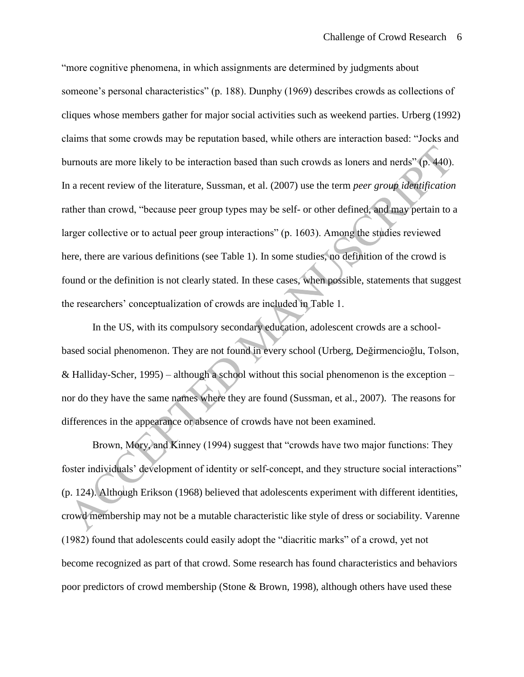"more cognitive phenomena, in which assignments are determined by judgments about someone's personal characteristics" (p. 188). Dunphy (1969) describes crowds as collections of cliques whose members gather for major social activities such as weekend parties. Urberg (1992) claims that some crowds may be reputation based, while others are interaction based: "Jocks and burnouts are more likely to be interaction based than such crowds as loners and nerds" (p. 440). In a recent review of the literature, Sussman, et al. (2007) use the term *peer group identification* rather than crowd, "because peer group types may be self- or other defined, and may pertain to a larger collective or to actual peer group interactions" (p. 1603). Among the studies reviewed here, there are various definitions (see Table 1). In some studies, no definition of the crowd is found or the definition is not clearly stated. In these cases, when possible, statements that suggest the researchers' conceptualization of crowds are included in Table 1.

In the US, with its compulsory secondary education, adolescent crowds are a schoolbased social phenomenon. They are not found in every school (Urberg, Değirmencioğlu, Tolson, & Halliday-Scher, 1995) – although a school without this social phenomenon is the exception – nor do they have the same names where they are found (Sussman, et al., 2007). The reasons for differences in the appearance or absence of crowds have not been examined.

Brown, Mory, and Kinney (1994) suggest that "crowds have two major functions: They foster individuals' development of identity or self-concept, and they structure social interactions" (p. 124). Although Erikson (1968) believed that adolescents experiment with different identities, crowd membership may not be a mutable characteristic like style of dress or sociability. Varenne (1982) found that adolescents could easily adopt the "diacritic marks" of a crowd, yet not become recognized as part of that crowd. Some research has found characteristics and behaviors poor predictors of crowd membership (Stone & Brown, 1998), although others have used these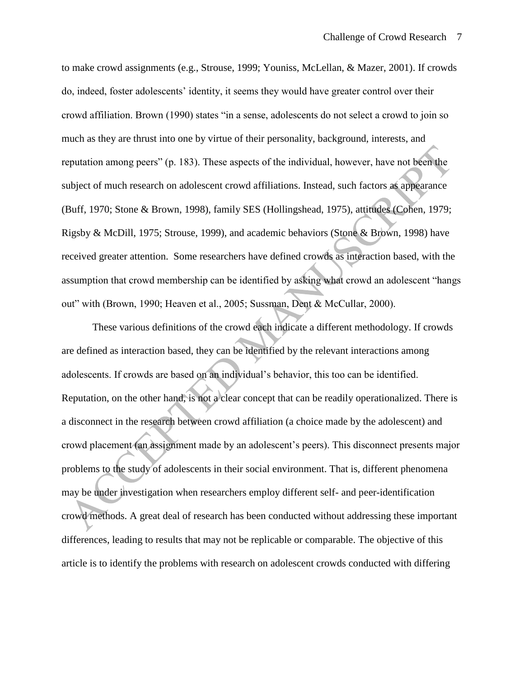to make crowd assignments (e.g., Strouse, 1999; Youniss, McLellan, & Mazer, 2001). If crowds do, indeed, foster adolescents' identity, it seems they would have greater control over their crowd affiliation. Brown (1990) states "in a sense, adolescents do not select a crowd to join so much as they are thrust into one by virtue of their personality, background, interests, and reputation among peers" (p. 183). These aspects of the individual, however, have not been the subject of much research on adolescent crowd affiliations. Instead, such factors as appearance (Buff, 1970; Stone & Brown, 1998), family SES (Hollingshead, 1975), attitudes (Cohen, 1979; Rigsby & McDill, 1975; Strouse, 1999), and academic behaviors (Stone & Brown, 1998) have received greater attention. Some researchers have defined crowds as interaction based, with the assumption that crowd membership can be identified by asking what crowd an adolescent "hangs out" with (Brown, 1990; Heaven et al., 2005; Sussman, Dent & McCullar, 2000).

These various definitions of the crowd each indicate a different methodology. If crowds are defined as interaction based, they can be identified by the relevant interactions among adolescents. If crowds are based on an individual's behavior, this too can be identified. Reputation, on the other hand, is not a clear concept that can be readily operationalized. There is a disconnect in the research between crowd affiliation (a choice made by the adolescent) and crowd placement (an assignment made by an adolescent's peers). This disconnect presents major problems to the study of adolescents in their social environment. That is, different phenomena may be under investigation when researchers employ different self- and peer-identification crowd methods. A great deal of research has been conducted without addressing these important differences, leading to results that may not be replicable or comparable. The objective of this article is to identify the problems with research on adolescent crowds conducted with differing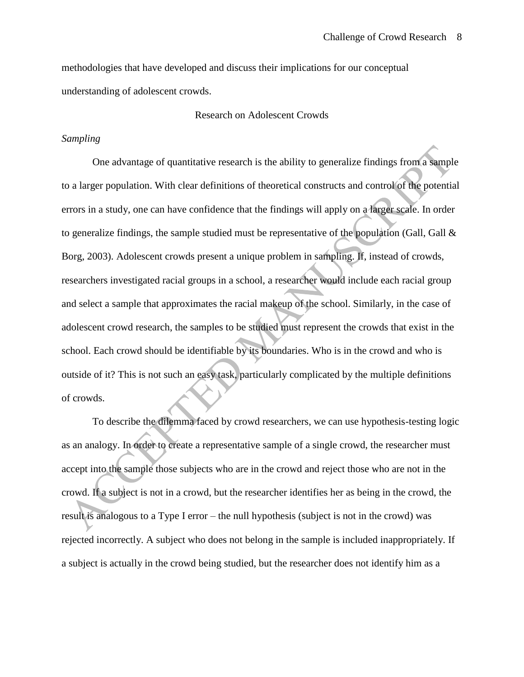methodologies that have developed and discuss their implications for our conceptual understanding of adolescent crowds.

Research on Adolescent Crowds

#### *Sampling*

One advantage of quantitative research is the ability to generalize findings from a sample to a larger population. With clear definitions of theoretical constructs and control of the potential errors in a study, one can have confidence that the findings will apply on a larger scale. In order to generalize findings, the sample studied must be representative of the population (Gall, Gall & Borg, 2003). Adolescent crowds present a unique problem in sampling. If, instead of crowds, researchers investigated racial groups in a school, a researcher would include each racial group and select a sample that approximates the racial makeup of the school. Similarly, in the case of adolescent crowd research, the samples to be studied must represent the crowds that exist in the school. Each crowd should be identifiable by its boundaries. Who is in the crowd and who is outside of it? This is not such an easy task, particularly complicated by the multiple definitions of crowds.

To describe the dilemma faced by crowd researchers, we can use hypothesis-testing logic as an analogy. In order to create a representative sample of a single crowd, the researcher must accept into the sample those subjects who are in the crowd and reject those who are not in the crowd. If a subject is not in a crowd, but the researcher identifies her as being in the crowd, the result is analogous to a Type I error – the null hypothesis (subject is not in the crowd) was rejected incorrectly. A subject who does not belong in the sample is included inappropriately. If a subject is actually in the crowd being studied, but the researcher does not identify him as a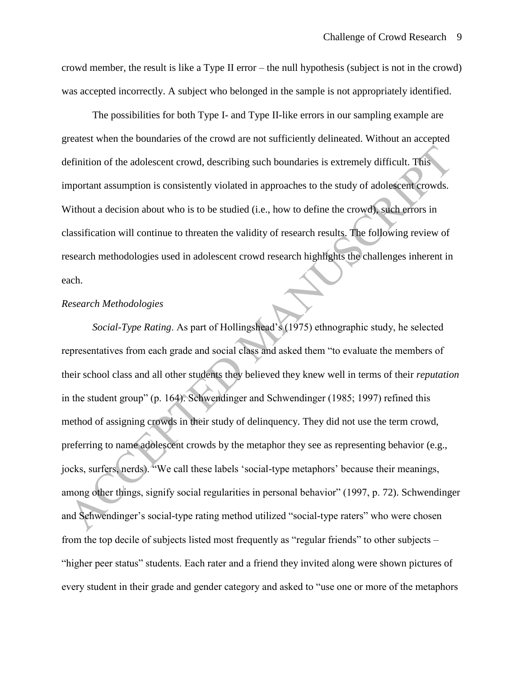crowd member, the result is like a Type II error – the null hypothesis (subject is not in the crowd) was accepted incorrectly. A subject who belonged in the sample is not appropriately identified.

The possibilities for both Type I- and Type II-like errors in our sampling example are greatest when the boundaries of the crowd are not sufficiently delineated. Without an accepted definition of the adolescent crowd, describing such boundaries is extremely difficult. This important assumption is consistently violated in approaches to the study of adolescent crowds. Without a decision about who is to be studied (i.e., how to define the crowd), such errors in classification will continue to threaten the validity of research results. The following review of research methodologies used in adolescent crowd research highlights the challenges inherent in each.

#### *Research Methodologies*

*Social-Type Rating*. As part of Hollingshead's (1975) ethnographic study, he selected representatives from each grade and social class and asked them "to evaluate the members of their school class and all other students they believed they knew well in terms of their *reputation* in the student group" (p. 164). Schwendinger and Schwendinger (1985; 1997) refined this method of assigning crowds in their study of delinquency. They did not use the term crowd, preferring to name adolescent crowds by the metaphor they see as representing behavior (e.g., jocks, surfers, nerds). "We call these labels 'social-type metaphors' because their meanings, among other things, signify social regularities in personal behavior" (1997, p. 72). Schwendinger and Schwendinger's social-type rating method utilized "social-type raters" who were chosen from the top decile of subjects listed most frequently as "regular friends" to other subjects – "higher peer status" students. Each rater and a friend they invited along were shown pictures of every student in their grade and gender category and asked to "use one or more of the metaphors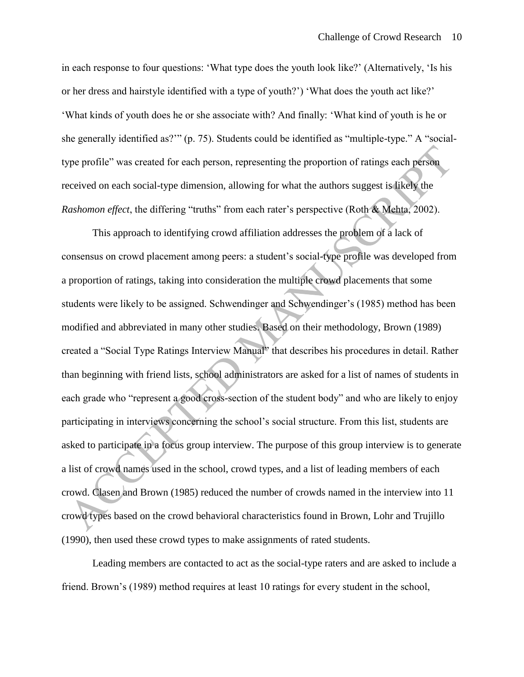in each response to four questions: 'What type does the youth look like?' (Alternatively, 'Is his or her dress and hairstyle identified with a type of youth?') 'What does the youth act like?' 'What kinds of youth does he or she associate with? And finally: 'What kind of youth is he or she generally identified as?'" (p. 75). Students could be identified as "multiple-type." A "socialtype profile" was created for each person, representing the proportion of ratings each person received on each social-type dimension, allowing for what the authors suggest is likely the *Rashomon effect*, the differing "truths" from each rater's perspective (Roth & Mehta, 2002).

This approach to identifying crowd affiliation addresses the problem of a lack of consensus on crowd placement among peers: a student's social-type profile was developed from a proportion of ratings, taking into consideration the multiple crowd placements that some students were likely to be assigned. Schwendinger and Schwendinger's (1985) method has been modified and abbreviated in many other studies. Based on their methodology, Brown (1989) created a "Social Type Ratings Interview Manual" that describes his procedures in detail. Rather than beginning with friend lists, school administrators are asked for a list of names of students in each grade who "represent a good cross-section of the student body" and who are likely to enjoy participating in interviews concerning the school's social structure. From this list, students are asked to participate in a focus group interview. The purpose of this group interview is to generate a list of crowd names used in the school, crowd types, and a list of leading members of each crowd. Clasen and Brown (1985) reduced the number of crowds named in the interview into 11 crowd types based on the crowd behavioral characteristics found in Brown, Lohr and Trujillo (1990), then used these crowd types to make assignments of rated students.

Leading members are contacted to act as the social-type raters and are asked to include a friend. Brown's (1989) method requires at least 10 ratings for every student in the school,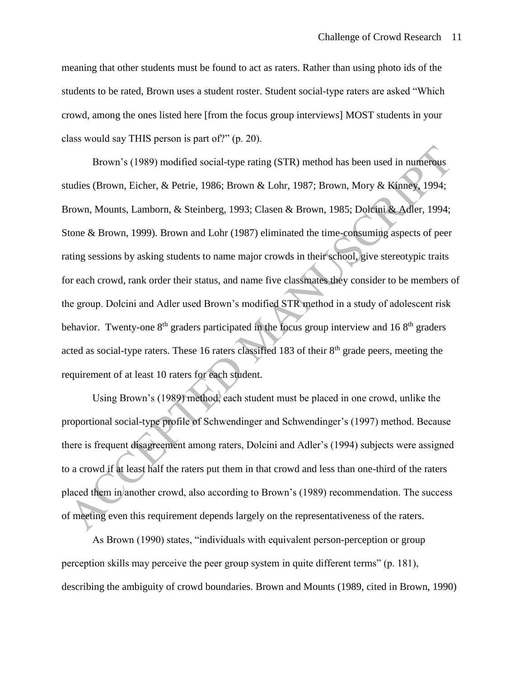meaning that other students must be found to act as raters. Rather than using photo ids of the students to be rated, Brown uses a student roster. Student social-type raters are asked "Which crowd, among the ones listed here [from the focus group interviews] MOST students in your class would say THIS person is part of?" (p. 20).

Brown's (1989) modified social-type rating (STR) method has been used in numerous studies (Brown, Eicher, & Petrie, 1986; Brown & Lohr, 1987; Brown, Mory & Kinney, 1994; Brown, Mounts, Lamborn, & Steinberg, 1993; Clasen & Brown, 1985; Dolcini & Adler, 1994; Stone & Brown, 1999). Brown and Lohr (1987) eliminated the time-consuming aspects of peer rating sessions by asking students to name major crowds in their school, give stereotypic traits for each crowd, rank order their status, and name five classmates they consider to be members of the group. Dolcini and Adler used Brown's modified STR method in a study of adolescent risk behavior. Twenty-one  $8<sup>th</sup>$  graders participated in the focus group interview and 16  $8<sup>th</sup>$  graders acted as social-type raters. These 16 raters classified 183 of their 8<sup>th</sup> grade peers, meeting the requirement of at least 10 raters for each student.

Using Brown's (1989) method, each student must be placed in one crowd, unlike the proportional social-type profile of Schwendinger and Schwendinger's (1997) method. Because there is frequent disagreement among raters, Dolcini and Adler's (1994) subjects were assigned to a crowd if at least half the raters put them in that crowd and less than one-third of the raters placed them in another crowd, also according to Brown's (1989) recommendation. The success of meeting even this requirement depends largely on the representativeness of the raters.

As Brown (1990) states, "individuals with equivalent person-perception or group perception skills may perceive the peer group system in quite different terms" (p. 181), describing the ambiguity of crowd boundaries. Brown and Mounts (1989, cited in Brown, 1990)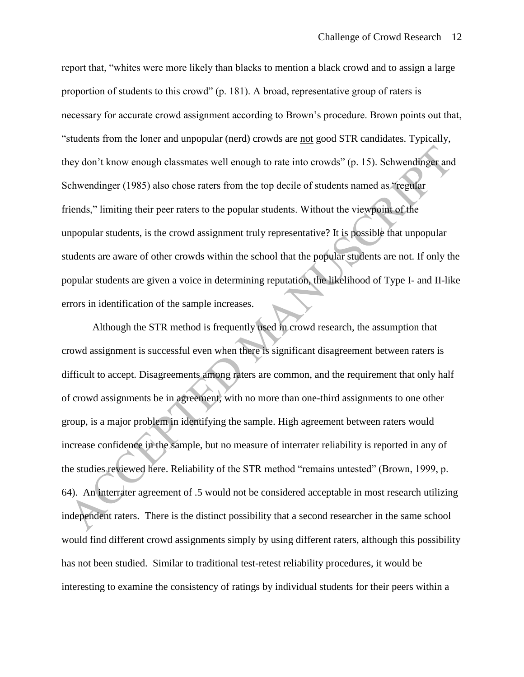report that, "whites were more likely than blacks to mention a black crowd and to assign a large proportion of students to this crowd" (p. 181). A broad, representative group of raters is necessary for accurate crowd assignment according to Brown's procedure. Brown points out that, "students from the loner and unpopular (nerd) crowds are not good STR candidates. Typically, they don't know enough classmates well enough to rate into crowds" (p. 15). Schwendinger and Schwendinger (1985) also chose raters from the top decile of students named as "regular friends," limiting their peer raters to the popular students. Without the viewpoint of the unpopular students, is the crowd assignment truly representative? It is possible that unpopular students are aware of other crowds within the school that the popular students are not. If only the popular students are given a voice in determining reputation, the likelihood of Type I- and II-like errors in identification of the sample increases.

Although the STR method is frequently used in crowd research, the assumption that crowd assignment is successful even when there is significant disagreement between raters is difficult to accept. Disagreements among raters are common, and the requirement that only half of crowd assignments be in agreement, with no more than one-third assignments to one other group, is a major problem in identifying the sample. High agreement between raters would increase confidence in the sample, but no measure of interrater reliability is reported in any of the studies reviewed here. Reliability of the STR method "remains untested" (Brown, 1999, p. 64). An interrater agreement of .5 would not be considered acceptable in most research utilizing independent raters. There is the distinct possibility that a second researcher in the same school would find different crowd assignments simply by using different raters, although this possibility has not been studied. Similar to traditional test-retest reliability procedures, it would be interesting to examine the consistency of ratings by individual students for their peers within a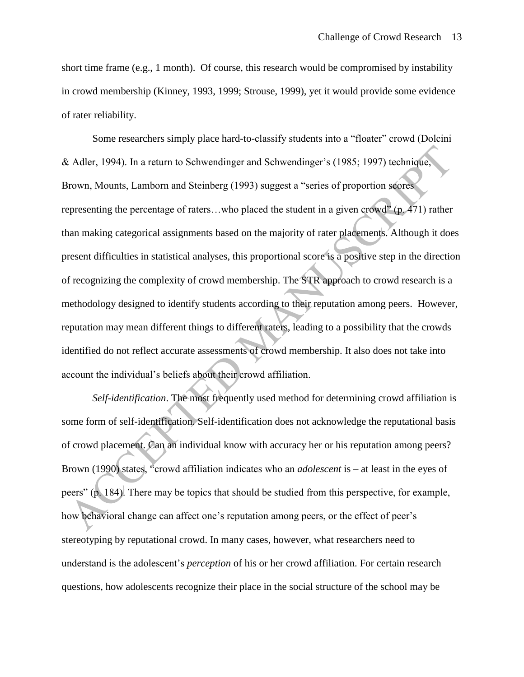short time frame (e.g., 1 month). Of course, this research would be compromised by instability in crowd membership (Kinney, 1993, 1999; Strouse, 1999), yet it would provide some evidence of rater reliability.

Some researchers simply place hard-to-classify students into a "floater" crowd (Dolcini & Adler, 1994). In a return to Schwendinger and Schwendinger's (1985; 1997) technique, Brown, Mounts, Lamborn and Steinberg (1993) suggest a "series of proportion scores representing the percentage of raters…who placed the student in a given crowd" (p. 471) rather than making categorical assignments based on the majority of rater placements. Although it does present difficulties in statistical analyses, this proportional score is a positive step in the direction of recognizing the complexity of crowd membership. The STR approach to crowd research is a methodology designed to identify students according to their reputation among peers. However, reputation may mean different things to different raters, leading to a possibility that the crowds identified do not reflect accurate assessments of crowd membership. It also does not take into account the individual's beliefs about their crowd affiliation.

*Self-identification*. The most frequently used method for determining crowd affiliation is some form of self-identification. Self-identification does not acknowledge the reputational basis of crowd placement. Can an individual know with accuracy her or his reputation among peers? Brown (1990) states, "crowd affiliation indicates who an *adolescent* is – at least in the eyes of peers" (p. 184). There may be topics that should be studied from this perspective, for example, how behavioral change can affect one's reputation among peers, or the effect of peer's stereotyping by reputational crowd. In many cases, however, what researchers need to understand is the adolescent's *perception* of his or her crowd affiliation. For certain research questions, how adolescents recognize their place in the social structure of the school may be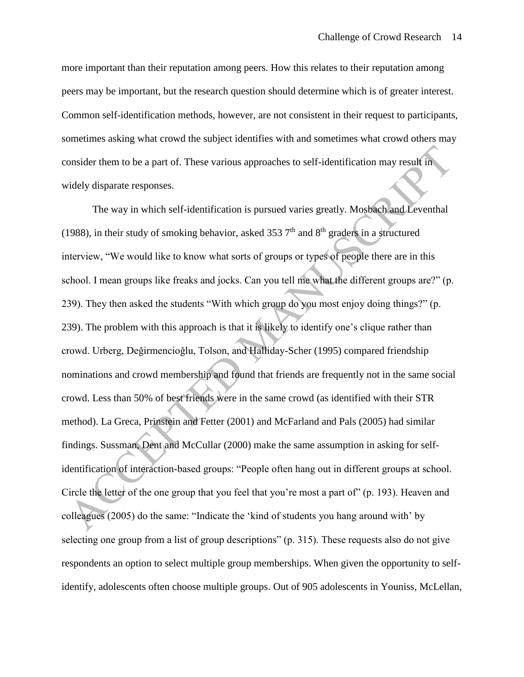more important than their reputation among peers. How this relates to their reputation among peers may be important, but the research question should determine which is of greater interest. Common self-identification methods, however, are not consistent in their request to participants, sometimes asking what crowd the subject identifies with and sometimes what crowd others may consider them to be a part of. These various approaches to self-identification may result in widely disparate responses.

The way in which self-identification is pursued varies greatly. Mosbach and Leventhal (1988), in their study of smoking behavior, asked 353  $7<sup>th</sup>$  and  $8<sup>th</sup>$  graders in a structured interview, "We would like to know what sorts of groups or types of people there are in this school. I mean groups like freaks and jocks. Can you tell me what the different groups are?" (p. 239). They then asked the students "With which group do you most enjoy doing things?" (p. 239). The problem with this approach is that it is likely to identify one's clique rather than crowd. Urberg, Değirmencioğlu, Tolson, and Halliday-Scher (1995) compared friendship nominations and crowd membership and found that friends are frequently not in the same social crowd. Less than 50% of best friends were in the same crowd (as identified with their STR method). La Greca, Prinstein and Fetter (2001) and McFarland and Pals (2005) had similar findings. Sussman, Dent and McCullar (2000) make the same assumption in asking for selfidentification of interaction-based groups: "People often hang out in different groups at school. Circle the letter of the one group that you feel that you're most a part of" (p. 193). Heaven and colleagues (2005) do the same: "Indicate the 'kind of students you hang around with' by selecting one group from a list of group descriptions" (p. 315). These requests also do not give respondents an option to select multiple group memberships. When given the opportunity to selfidentify, adolescents often choose multiple groups. Out of 905 adolescents in Youniss, McLellan,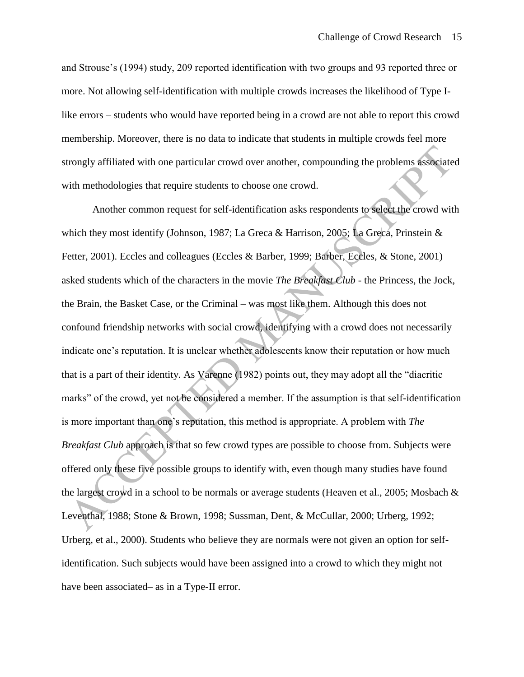and Strouse's (1994) study, 209 reported identification with two groups and 93 reported three or more. Not allowing self-identification with multiple crowds increases the likelihood of Type Ilike errors – students who would have reported being in a crowd are not able to report this crowd membership. Moreover, there is no data to indicate that students in multiple crowds feel more strongly affiliated with one particular crowd over another, compounding the problems associated with methodologies that require students to choose one crowd.

Another common request for self-identification asks respondents to select the crowd with which they most identify (Johnson, 1987; La Greca & Harrison, 2005; La Greca, Prinstein & Fetter, 2001). Eccles and colleagues (Eccles & Barber, 1999; Barber, Eccles, & Stone, 2001) asked students which of the characters in the movie *The Breakfast Club* - the Princess, the Jock, the Brain, the Basket Case, or the Criminal – was most like them. Although this does not confound friendship networks with social crowd, identifying with a crowd does not necessarily indicate one's reputation. It is unclear whether adolescents know their reputation or how much that is a part of their identity. As Varenne (1982) points out, they may adopt all the "diacritic marks" of the crowd, yet not be considered a member. If the assumption is that self-identification is more important than one's reputation, this method is appropriate. A problem with *The Breakfast Club* approach is that so few crowd types are possible to choose from. Subjects were offered only these five possible groups to identify with, even though many studies have found the largest crowd in a school to be normals or average students (Heaven et al., 2005; Mosbach & Leventhal, 1988; Stone & Brown, 1998; Sussman, Dent, & McCullar, 2000; Urberg, 1992; Urberg, et al., 2000). Students who believe they are normals were not given an option for selfidentification. Such subjects would have been assigned into a crowd to which they might not have been associated– as in a Type-II error.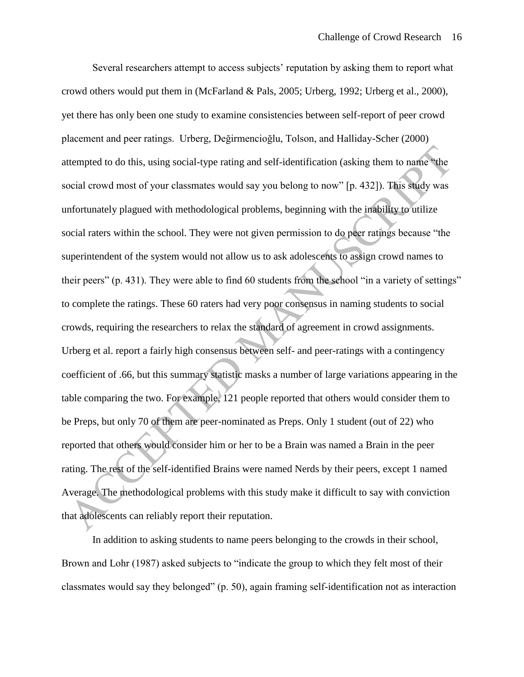Several researchers attempt to access subjects' reputation by asking them to report what crowd others would put them in (McFarland & Pals, 2005; Urberg, 1992; Urberg et al., 2000), yet there has only been one study to examine consistencies between self-report of peer crowd placement and peer ratings. Urberg, Değirmencioğlu, Tolson, and Halliday-Scher (2000) attempted to do this, using social-type rating and self-identification (asking them to name "the social crowd most of your classmates would say you belong to now" [p. 432]). This study was unfortunately plagued with methodological problems, beginning with the inability to utilize social raters within the school. They were not given permission to do peer ratings because "the superintendent of the system would not allow us to ask adolescents to assign crowd names to their peers" (p. 431). They were able to find 60 students from the school "in a variety of settings" to complete the ratings. These 60 raters had very poor consensus in naming students to social crowds, requiring the researchers to relax the standard of agreement in crowd assignments. Urberg et al. report a fairly high consensus between self- and peer-ratings with a contingency coefficient of .66, but this summary statistic masks a number of large variations appearing in the table comparing the two. For example, 121 people reported that others would consider them to be Preps, but only 70 of them are peer-nominated as Preps. Only 1 student (out of 22) who reported that others would consider him or her to be a Brain was named a Brain in the peer rating. The rest of the self-identified Brains were named Nerds by their peers, except 1 named Average. The methodological problems with this study make it difficult to say with conviction that adolescents can reliably report their reputation.

In addition to asking students to name peers belonging to the crowds in their school, Brown and Lohr (1987) asked subjects to "indicate the group to which they felt most of their classmates would say they belonged" (p. 50), again framing self-identification not as interaction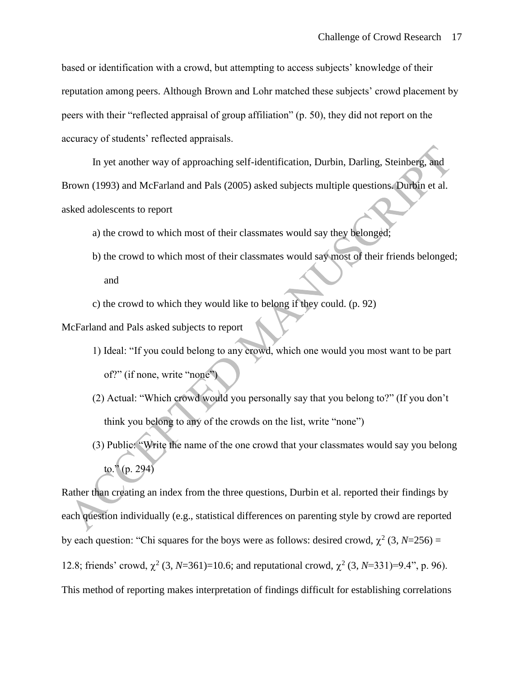based or identification with a crowd, but attempting to access subjects' knowledge of their reputation among peers. Although Brown and Lohr matched these subjects' crowd placement by peers with their "reflected appraisal of group affiliation" (p. 50), they did not report on the accuracy of students' reflected appraisals.

In yet another way of approaching self-identification, Durbin, Darling, Steinberg, and Brown (1993) and McFarland and Pals (2005) asked subjects multiple questions. Durbin et al. asked adolescents to report

- a) the crowd to which most of their classmates would say they belonged;
- b) the crowd to which most of their classmates would say most of their friends belonged; and
- c) the crowd to which they would like to belong if they could. (p. 92)

McFarland and Pals asked subjects to report

- 1) Ideal: "If you could belong to any crowd, which one would you most want to be part of?" (if none, write "none")
- (2) Actual: "Which crowd would you personally say that you belong to?" (If you don't think you belong to any of the crowds on the list, write "none")
- (3) Public: "Write the name of the one crowd that your classmates would say you belong to." (p. 294)

Rather than creating an index from the three questions, Durbin et al. reported their findings by each question individually (e.g., statistical differences on parenting style by crowd are reported by each question: "Chi squares for the boys were as follows: desired crowd,  $\chi^2$  (3, *N*=256) = 12.8; friends' crowd,  $\chi^2$  (3, *N*=361)=10.6; and reputational crowd,  $\chi^2$  (3, *N*=331)=9.4", p. 96). This method of reporting makes interpretation of findings difficult for establishing correlations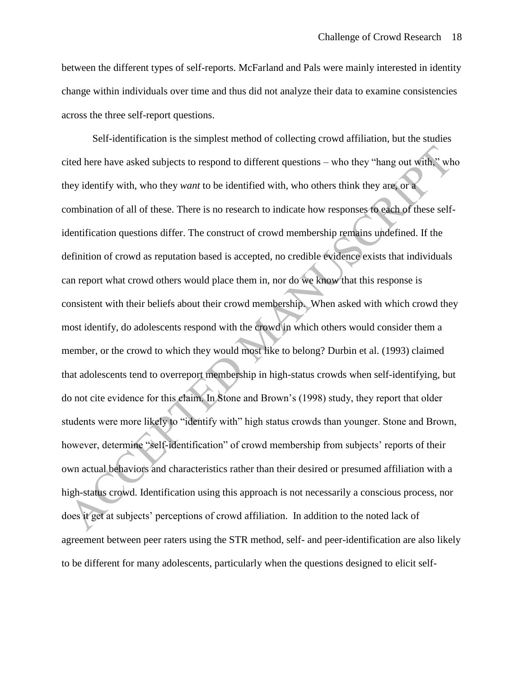between the different types of self-reports. McFarland and Pals were mainly interested in identity change within individuals over time and thus did not analyze their data to examine consistencies across the three self-report questions.

Self-identification is the simplest method of collecting crowd affiliation, but the studies cited here have asked subjects to respond to different questions – who they "hang out with," who they identify with, who they *want* to be identified with, who others think they are, or a combination of all of these. There is no research to indicate how responses to each of these selfidentification questions differ. The construct of crowd membership remains undefined. If the definition of crowd as reputation based is accepted, no credible evidence exists that individuals can report what crowd others would place them in, nor do we know that this response is consistent with their beliefs about their crowd membership. When asked with which crowd they most identify, do adolescents respond with the crowd in which others would consider them a member, or the crowd to which they would most like to belong? Durbin et al. (1993) claimed that adolescents tend to overreport membership in high-status crowds when self-identifying, but do not cite evidence for this claim. In Stone and Brown's (1998) study, they report that older students were more likely to "identify with" high status crowds than younger. Stone and Brown, however, determine "self-identification" of crowd membership from subjects' reports of their own actual behaviors and characteristics rather than their desired or presumed affiliation with a high-status crowd. Identification using this approach is not necessarily a conscious process, nor does it get at subjects' perceptions of crowd affiliation. In addition to the noted lack of agreement between peer raters using the STR method, self- and peer-identification are also likely to be different for many adolescents, particularly when the questions designed to elicit self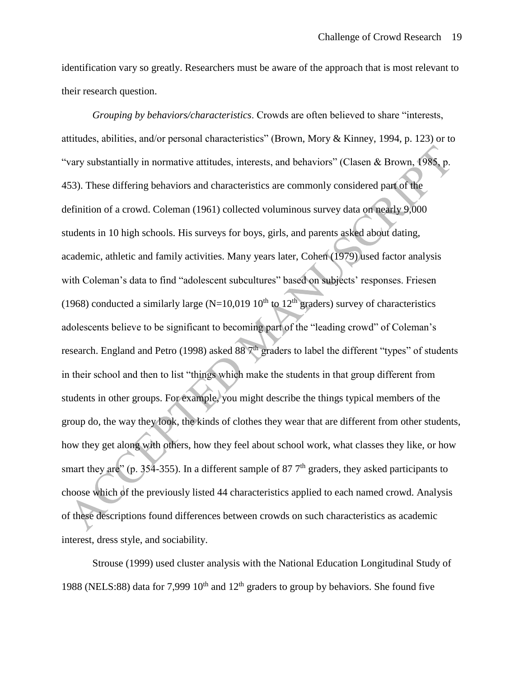identification vary so greatly. Researchers must be aware of the approach that is most relevant to their research question.

*Grouping by behaviors/characteristics*. Crowds are often believed to share "interests, attitudes, abilities, and/or personal characteristics" (Brown, Mory & Kinney, 1994, p. 123) or to "vary substantially in normative attitudes, interests, and behaviors" (Clasen & Brown, 1985, p. 453). These differing behaviors and characteristics are commonly considered part of the definition of a crowd. Coleman (1961) collected voluminous survey data on nearly 9,000 students in 10 high schools. His surveys for boys, girls, and parents asked about dating, academic, athletic and family activities. Many years later, Cohen (1979) used factor analysis with Coleman's data to find "adolescent subcultures" based on subjects' responses. Friesen (1968) conducted a similarly large (N=10,019 10<sup>th</sup> to 12<sup>th</sup> graders) survey of characteristics adolescents believe to be significant to becoming part of the "leading crowd" of Coleman's research. England and Petro (1998) asked 88 7<sup>th</sup> graders to label the different "types" of students in their school and then to list "things which make the students in that group different from students in other groups. For example, you might describe the things typical members of the group do, the way they look, the kinds of clothes they wear that are different from other students, how they get along with others, how they feel about school work, what classes they like, or how smart they are" (p. 354-355). In a different sample of 87  $7<sup>th</sup>$  graders, they asked participants to choose which of the previously listed 44 characteristics applied to each named crowd. Analysis of these descriptions found differences between crowds on such characteristics as academic interest, dress style, and sociability.

Strouse (1999) used cluster analysis with the National Education Longitudinal Study of 1988 (NELS:88) data for 7,999 10<sup>th</sup> and 12<sup>th</sup> graders to group by behaviors. She found five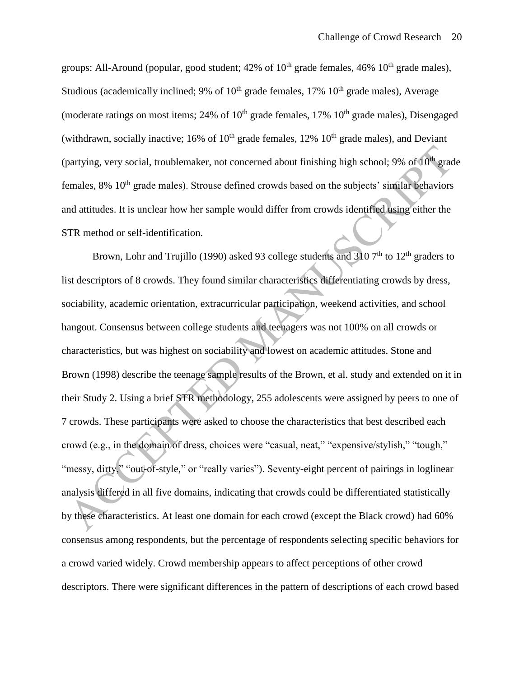groups: All-Around (popular, good student;  $42\%$  of  $10<sup>th</sup>$  grade females,  $46\%$   $10<sup>th</sup>$  grade males), Studious (academically inclined;  $9\%$  of  $10<sup>th</sup>$  grade females,  $17\%$   $10<sup>th</sup>$  grade males), Average (moderate ratings on most items;  $24\%$  of  $10<sup>th</sup>$  grade females,  $17\%$   $10<sup>th</sup>$  grade males), Disengaged (withdrawn, socially inactive; 16% of  $10^{th}$  grade females, 12%  $10^{th}$  grade males), and Deviant (partying, very social, troublemaker, not concerned about finishing high school; 9% of  $10<sup>th</sup>$  grade females, 8% 10<sup>th</sup> grade males). Strouse defined crowds based on the subjects' similar behaviors and attitudes. It is unclear how her sample would differ from crowds identified using either the STR method or self-identification.

Brown, Lohr and Trujillo (1990) asked 93 college students and  $310$  7<sup>th</sup> to  $12<sup>th</sup>$  graders to list descriptors of 8 crowds. They found similar characteristics differentiating crowds by dress, sociability, academic orientation, extracurricular participation, weekend activities, and school hangout. Consensus between college students and teenagers was not 100% on all crowds or characteristics, but was highest on sociability and lowest on academic attitudes. Stone and Brown (1998) describe the teenage sample results of the Brown, et al. study and extended on it in their Study 2. Using a brief STR methodology, 255 adolescents were assigned by peers to one of 7 crowds. These participants were asked to choose the characteristics that best described each crowd (e.g., in the domain of dress, choices were "casual, neat," "expensive/stylish," "tough," "messy, dirty," "out-of-style," or "really varies"). Seventy-eight percent of pairings in loglinear analysis differed in all five domains, indicating that crowds could be differentiated statistically by these characteristics. At least one domain for each crowd (except the Black crowd) had 60% consensus among respondents, but the percentage of respondents selecting specific behaviors for a crowd varied widely. Crowd membership appears to affect perceptions of other crowd descriptors. There were significant differences in the pattern of descriptions of each crowd based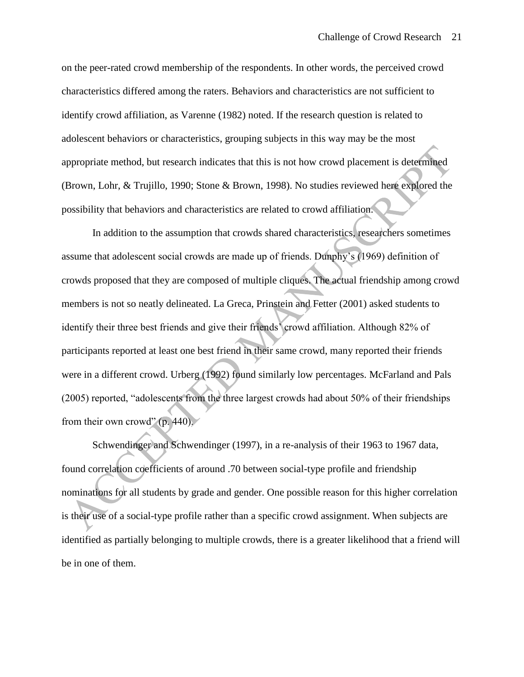on the peer-rated crowd membership of the respondents. In other words, the perceived crowd characteristics differed among the raters. Behaviors and characteristics are not sufficient to identify crowd affiliation, as Varenne (1982) noted. If the research question is related to adolescent behaviors or characteristics, grouping subjects in this way may be the most appropriate method, but research indicates that this is not how crowd placement is determined (Brown, Lohr, & Trujillo, 1990; Stone & Brown, 1998). No studies reviewed here explored the possibility that behaviors and characteristics are related to crowd affiliation.

In addition to the assumption that crowds shared characteristics, researchers sometimes assume that adolescent social crowds are made up of friends. Dunphy's (1969) definition of crowds proposed that they are composed of multiple cliques. The actual friendship among crowd members is not so neatly delineated. La Greca, Prinstein and Fetter (2001) asked students to identify their three best friends and give their friends' crowd affiliation. Although 82% of participants reported at least one best friend in their same crowd, many reported their friends were in a different crowd. Urberg (1992) found similarly low percentages. McFarland and Pals (2005) reported, "adolescents from the three largest crowds had about 50% of their friendships from their own crowd" (p. 440).

Schwendinger and Schwendinger (1997), in a re-analysis of their 1963 to 1967 data, found correlation coefficients of around .70 between social-type profile and friendship nominations for all students by grade and gender. One possible reason for this higher correlation is their use of a social-type profile rather than a specific crowd assignment. When subjects are identified as partially belonging to multiple crowds, there is a greater likelihood that a friend will be in one of them.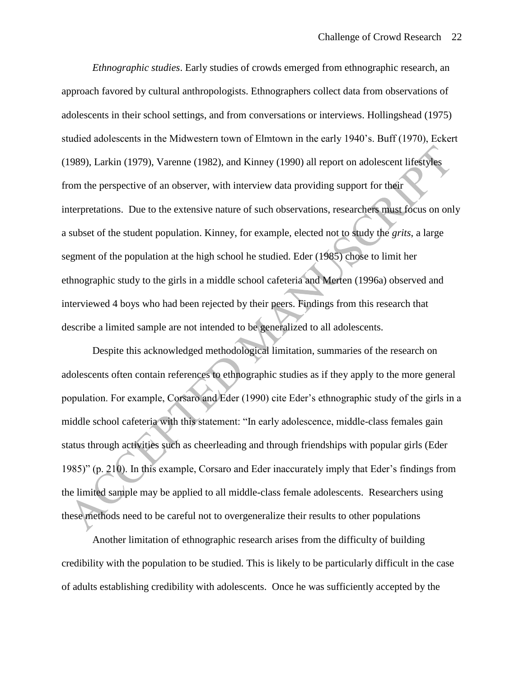*Ethnographic studies*. Early studies of crowds emerged from ethnographic research, an approach favored by cultural anthropologists. Ethnographers collect data from observations of adolescents in their school settings, and from conversations or interviews. Hollingshead (1975) studied adolescents in the Midwestern town of Elmtown in the early 1940's. Buff (1970), Eckert (1989), Larkin (1979), Varenne (1982), and Kinney (1990) all report on adolescent lifestyles from the perspective of an observer, with interview data providing support for their interpretations. Due to the extensive nature of such observations, researchers must focus on only a subset of the student population. Kinney, for example, elected not to study the *grits*, a large segment of the population at the high school he studied. Eder (1985) chose to limit her ethnographic study to the girls in a middle school cafeteria and Merten (1996a) observed and interviewed 4 boys who had been rejected by their peers. Findings from this research that describe a limited sample are not intended to be generalized to all adolescents.

Despite this acknowledged methodological limitation, summaries of the research on adolescents often contain references to ethnographic studies as if they apply to the more general population. For example, Corsaro and Eder (1990) cite Eder's ethnographic study of the girls in a middle school cafeteria with this statement: "In early adolescence, middle-class females gain status through activities such as cheerleading and through friendships with popular girls (Eder 1985)" (p. 210). In this example, Corsaro and Eder inaccurately imply that Eder's findings from the limited sample may be applied to all middle-class female adolescents. Researchers using these methods need to be careful not to overgeneralize their results to other populations

Another limitation of ethnographic research arises from the difficulty of building credibility with the population to be studied. This is likely to be particularly difficult in the case of adults establishing credibility with adolescents. Once he was sufficiently accepted by the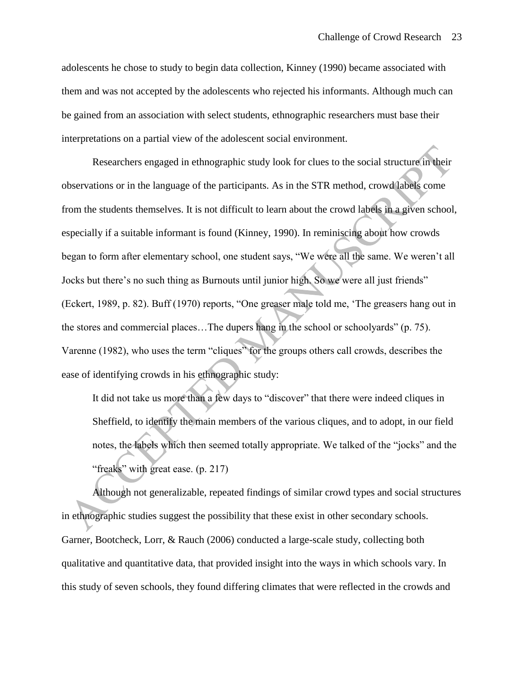adolescents he chose to study to begin data collection, Kinney (1990) became associated with them and was not accepted by the adolescents who rejected his informants. Although much can be gained from an association with select students, ethnographic researchers must base their interpretations on a partial view of the adolescent social environment.

Researchers engaged in ethnographic study look for clues to the social structure in their observations or in the language of the participants. As in the STR method, crowd labels come from the students themselves. It is not difficult to learn about the crowd labels in a given school, especially if a suitable informant is found (Kinney, 1990). In reminiscing about how crowds began to form after elementary school, one student says, "We were all the same. We weren't all Jocks but there's no such thing as Burnouts until junior high. So we were all just friends" (Eckert, 1989, p. 82). Buff (1970) reports, "One greaser male told me, 'The greasers hang out in the stores and commercial places…The dupers hang in the school or schoolyards" (p. 75). Varenne (1982), who uses the term "cliques" for the groups others call crowds, describes the ease of identifying crowds in his ethnographic study:

It did not take us more than a few days to "discover" that there were indeed cliques in Sheffield, to identify the main members of the various cliques, and to adopt, in our field notes, the labels which then seemed totally appropriate. We talked of the "jocks" and the "freaks" with great ease. (p. 217)

Although not generalizable, repeated findings of similar crowd types and social structures in ethnographic studies suggest the possibility that these exist in other secondary schools. Garner, Bootcheck, Lorr, & Rauch (2006) conducted a large-scale study, collecting both qualitative and quantitative data, that provided insight into the ways in which schools vary. In this study of seven schools, they found differing climates that were reflected in the crowds and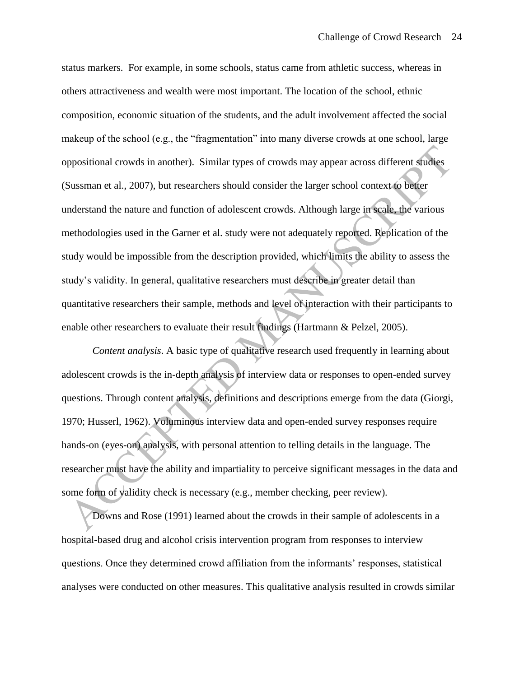status markers. For example, in some schools, status came from athletic success, whereas in others attractiveness and wealth were most important. The location of the school, ethnic composition, economic situation of the students, and the adult involvement affected the social makeup of the school (e.g., the "fragmentation" into many diverse crowds at one school, large oppositional crowds in another). Similar types of crowds may appear across different studies (Sussman et al., 2007), but researchers should consider the larger school context to better understand the nature and function of adolescent crowds. Although large in scale, the various methodologies used in the Garner et al. study were not adequately reported. Replication of the study would be impossible from the description provided, which limits the ability to assess the study's validity. In general, qualitative researchers must describe in greater detail than quantitative researchers their sample, methods and level of interaction with their participants to enable other researchers to evaluate their result findings (Hartmann & Pelzel, 2005).

*Content analysis*. A basic type of qualitative research used frequently in learning about adolescent crowds is the in-depth analysis of interview data or responses to open-ended survey questions. Through content analysis, definitions and descriptions emerge from the data (Giorgi, 1970; Husserl, 1962). Voluminous interview data and open-ended survey responses require hands-on (eyes-on) analysis, with personal attention to telling details in the language. The researcher must have the ability and impartiality to perceive significant messages in the data and some form of validity check is necessary (e.g., member checking, peer review).

Downs and Rose (1991) learned about the crowds in their sample of adolescents in a hospital-based drug and alcohol crisis intervention program from responses to interview questions. Once they determined crowd affiliation from the informants' responses, statistical analyses were conducted on other measures. This qualitative analysis resulted in crowds similar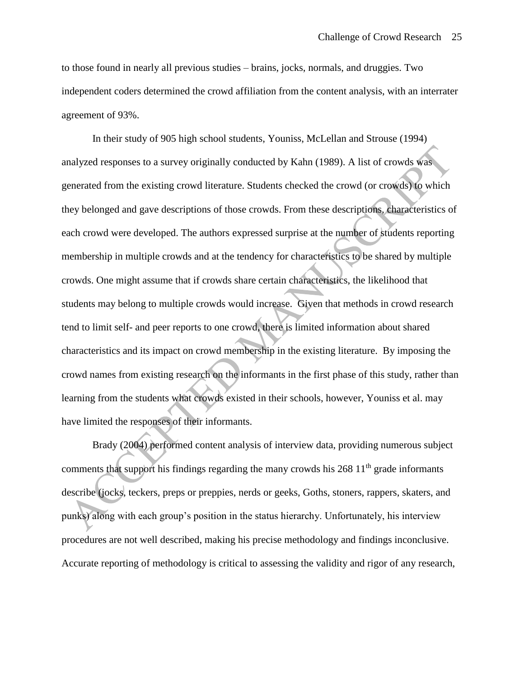to those found in nearly all previous studies – brains, jocks, normals, and druggies. Two independent coders determined the crowd affiliation from the content analysis, with an interrater agreement of 93%.

In their study of 905 high school students, Youniss, McLellan and Strouse (1994) analyzed responses to a survey originally conducted by Kahn (1989). A list of crowds was generated from the existing crowd literature. Students checked the crowd (or crowds) to which they belonged and gave descriptions of those crowds. From these descriptions, characteristics of each crowd were developed. The authors expressed surprise at the number of students reporting membership in multiple crowds and at the tendency for characteristics to be shared by multiple crowds. One might assume that if crowds share certain characteristics, the likelihood that students may belong to multiple crowds would increase. Given that methods in crowd research tend to limit self- and peer reports to one crowd, there is limited information about shared characteristics and its impact on crowd membership in the existing literature. By imposing the crowd names from existing research on the informants in the first phase of this study, rather than learning from the students what crowds existed in their schools, however, Youniss et al. may have limited the responses of their informants.

Brady (2004) performed content analysis of interview data, providing numerous subject comments that support his findings regarding the many crowds his  $268\ 11<sup>th</sup>$  grade informants describe (jocks, teckers, preps or preppies, nerds or geeks, Goths, stoners, rappers, skaters, and punks) along with each group's position in the status hierarchy. Unfortunately, his interview procedures are not well described, making his precise methodology and findings inconclusive. Accurate reporting of methodology is critical to assessing the validity and rigor of any research,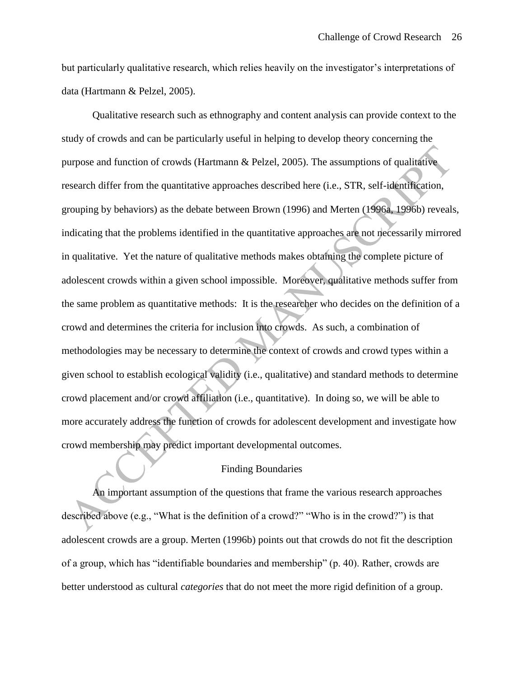but particularly qualitative research, which relies heavily on the investigator's interpretations of data (Hartmann & Pelzel, 2005).

Qualitative research such as ethnography and content analysis can provide context to the study of crowds and can be particularly useful in helping to develop theory concerning the purpose and function of crowds (Hartmann & Pelzel, 2005). The assumptions of qualitative research differ from the quantitative approaches described here (i.e., STR, self-identification, grouping by behaviors) as the debate between Brown (1996) and Merten (1996a, 1996b) reveals, indicating that the problems identified in the quantitative approaches are not necessarily mirrored in qualitative. Yet the nature of qualitative methods makes obtaining the complete picture of adolescent crowds within a given school impossible. Moreover, qualitative methods suffer from the same problem as quantitative methods: It is the researcher who decides on the definition of a crowd and determines the criteria for inclusion into crowds. As such, a combination of methodologies may be necessary to determine the context of crowds and crowd types within a given school to establish ecological validity (i.e., qualitative) and standard methods to determine crowd placement and/or crowd affiliation (i.e., quantitative). In doing so, we will be able to more accurately address the function of crowds for adolescent development and investigate how crowd membership may predict important developmental outcomes.

#### Finding Boundaries

An important assumption of the questions that frame the various research approaches described above (e.g., "What is the definition of a crowd?" "Who is in the crowd?") is that adolescent crowds are a group. Merten (1996b) points out that crowds do not fit the description of a group, which has "identifiable boundaries and membership" (p. 40). Rather, crowds are better understood as cultural *categories* that do not meet the more rigid definition of a group.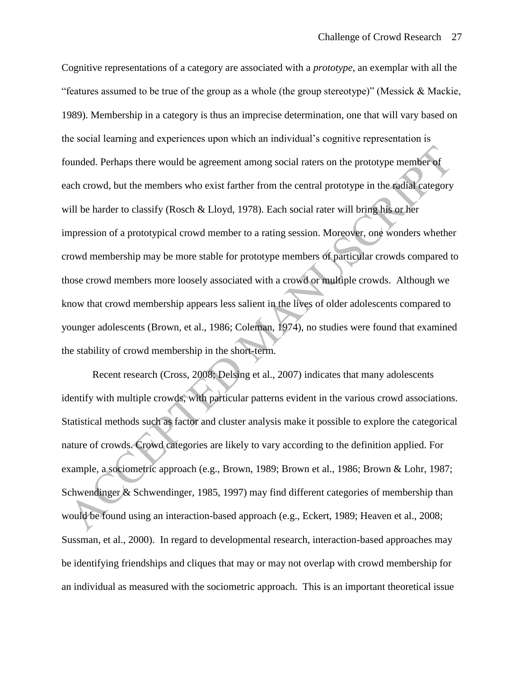Cognitive representations of a category are associated with a *prototype*, an exemplar with all the "features assumed to be true of the group as a whole (the group stereotype)" (Messick & Mackie, 1989). Membership in a category is thus an imprecise determination, one that will vary based on the social learning and experiences upon which an individual's cognitive representation is founded. Perhaps there would be agreement among social raters on the prototype member of each crowd, but the members who exist farther from the central prototype in the radial category will be harder to classify (Rosch & Lloyd, 1978). Each social rater will bring his or her impression of a prototypical crowd member to a rating session. Moreover, one wonders whether crowd membership may be more stable for prototype members of particular crowds compared to those crowd members more loosely associated with a crowd or multiple crowds. Although we know that crowd membership appears less salient in the lives of older adolescents compared to younger adolescents (Brown, et al., 1986; Coleman, 1974), no studies were found that examined the stability of crowd membership in the short-term.

Recent research (Cross, 2008; Delsing et al., 2007) indicates that many adolescents identify with multiple crowds, with particular patterns evident in the various crowd associations. Statistical methods such as factor and cluster analysis make it possible to explore the categorical nature of crowds. Crowd categories are likely to vary according to the definition applied. For example, a sociometric approach (e.g., Brown, 1989; Brown et al., 1986; Brown & Lohr, 1987; Schwendinger & Schwendinger, 1985, 1997) may find different categories of membership than would be found using an interaction-based approach (e.g., Eckert, 1989; Heaven et al., 2008; Sussman, et al., 2000). In regard to developmental research, interaction-based approaches may be identifying friendships and cliques that may or may not overlap with crowd membership for an individual as measured with the sociometric approach. This is an important theoretical issue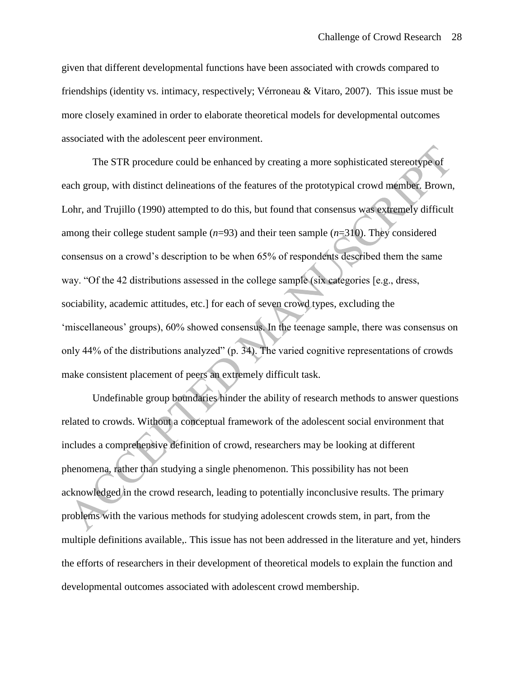given that different developmental functions have been associated with crowds compared to friendships (identity vs. intimacy, respectively; Vérroneau & Vitaro, 2007). This issue must be more closely examined in order to elaborate theoretical models for developmental outcomes associated with the adolescent peer environment.

The STR procedure could be enhanced by creating a more sophisticated stereotype of each group, with distinct delineations of the features of the prototypical crowd member. Brown, Lohr, and Trujillo (1990) attempted to do this, but found that consensus was extremely difficult among their college student sample (*n*=93) and their teen sample (*n*=310). They considered consensus on a crowd's description to be when 65% of respondents described them the same way. "Of the 42 distributions assessed in the college sample (six categories [e.g., dress, sociability, academic attitudes, etc.] for each of seven crowd types, excluding the 'miscellaneous' groups), 60% showed consensus. In the teenage sample, there was consensus on only 44% of the distributions analyzed" (p. 34). The varied cognitive representations of crowds make consistent placement of peers an extremely difficult task.

Undefinable group boundaries hinder the ability of research methods to answer questions related to crowds. Without a conceptual framework of the adolescent social environment that includes a comprehensive definition of crowd, researchers may be looking at different phenomena, rather than studying a single phenomenon. This possibility has not been acknowledged in the crowd research, leading to potentially inconclusive results. The primary problems with the various methods for studying adolescent crowds stem, in part, from the multiple definitions available,. This issue has not been addressed in the literature and yet, hinders the efforts of researchers in their development of theoretical models to explain the function and developmental outcomes associated with adolescent crowd membership.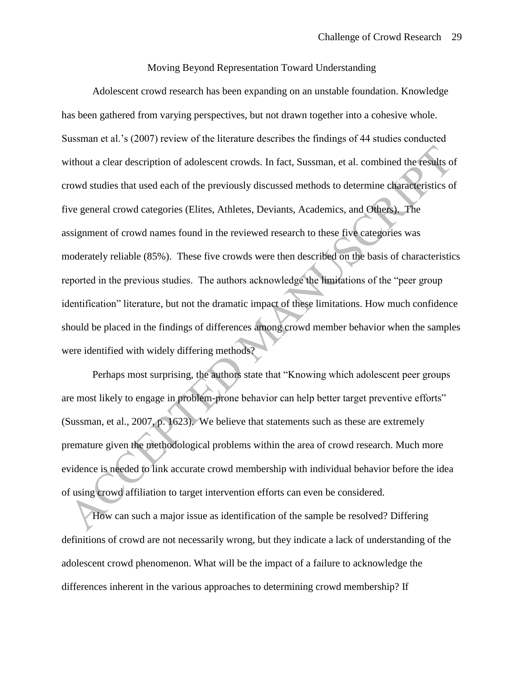#### Moving Beyond Representation Toward Understanding

Adolescent crowd research has been expanding on an unstable foundation. Knowledge has been gathered from varying perspectives, but not drawn together into a cohesive whole. Sussman et al.'s (2007) review of the literature describes the findings of 44 studies conducted without a clear description of adolescent crowds. In fact, Sussman, et al. combined the results of crowd studies that used each of the previously discussed methods to determine characteristics of five general crowd categories (Elites, Athletes, Deviants, Academics, and Others). The assignment of crowd names found in the reviewed research to these five categories was moderately reliable (85%). These five crowds were then described on the basis of characteristics reported in the previous studies. The authors acknowledge the limitations of the "peer group identification" literature, but not the dramatic impact of these limitations. How much confidence should be placed in the findings of differences among crowd member behavior when the samples were identified with widely differing methods?

Perhaps most surprising, the authors state that "Knowing which adolescent peer groups are most likely to engage in problem-prone behavior can help better target preventive efforts" (Sussman, et al., 2007, p. 1623). We believe that statements such as these are extremely premature given the methodological problems within the area of crowd research. Much more evidence is needed to link accurate crowd membership with individual behavior before the idea of using crowd affiliation to target intervention efforts can even be considered.

How can such a major issue as identification of the sample be resolved? Differing definitions of crowd are not necessarily wrong, but they indicate a lack of understanding of the adolescent crowd phenomenon. What will be the impact of a failure to acknowledge the differences inherent in the various approaches to determining crowd membership? If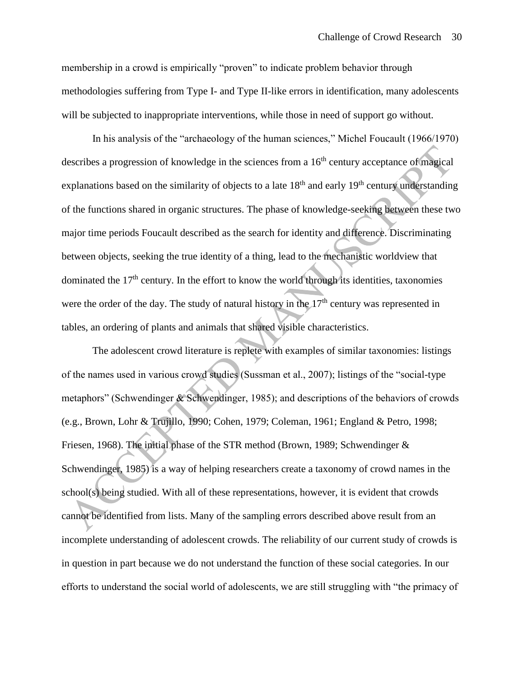membership in a crowd is empirically "proven" to indicate problem behavior through methodologies suffering from Type I- and Type II-like errors in identification, many adolescents will be subjected to inappropriate interventions, while those in need of support go without.

In his analysis of the "archaeology of the human sciences," Michel Foucault (1966/1970) describes a progression of knowledge in the sciences from a  $16<sup>th</sup>$  century acceptance of magical explanations based on the similarity of objects to a late 18<sup>th</sup> and early 19<sup>th</sup> century understanding of the functions shared in organic structures. The phase of knowledge-seeking between these two major time periods Foucault described as the search for identity and difference. Discriminating between objects, seeking the true identity of a thing, lead to the mechanistic worldview that dominated the  $17<sup>th</sup>$  century. In the effort to know the world through its identities, taxonomies were the order of the day. The study of natural history in the  $17<sup>th</sup>$  century was represented in tables, an ordering of plants and animals that shared visible characteristics.

The adolescent crowd literature is replete with examples of similar taxonomies: listings of the names used in various crowd studies (Sussman et al., 2007); listings of the "social-type metaphors" (Schwendinger & Schwendinger, 1985); and descriptions of the behaviors of crowds (e.g., Brown, Lohr & Trujillo, 1990; Cohen, 1979; Coleman, 1961; England & Petro, 1998; Friesen, 1968). The initial phase of the STR method (Brown, 1989; Schwendinger & Schwendinger, 1985) is a way of helping researchers create a taxonomy of crowd names in the school(s) being studied. With all of these representations, however, it is evident that crowds cannot be identified from lists. Many of the sampling errors described above result from an incomplete understanding of adolescent crowds. The reliability of our current study of crowds is in question in part because we do not understand the function of these social categories. In our efforts to understand the social world of adolescents, we are still struggling with "the primacy of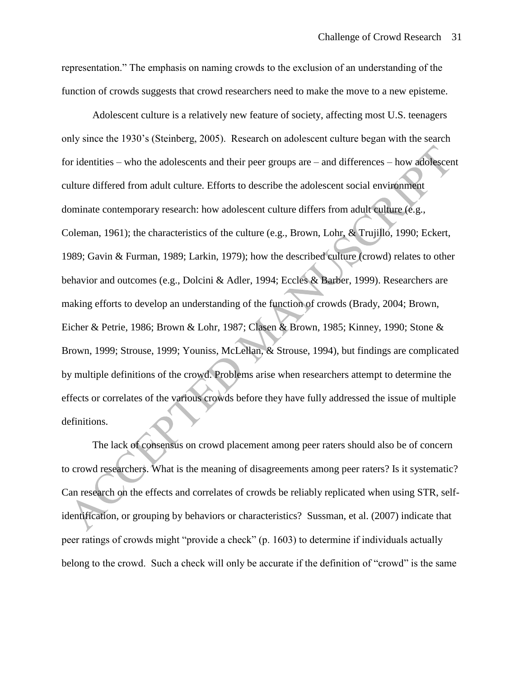representation." The emphasis on naming crowds to the exclusion of an understanding of the function of crowds suggests that crowd researchers need to make the move to a new episteme.

Adolescent culture is a relatively new feature of society, affecting most U.S. teenagers only since the 1930's (Steinberg, 2005). Research on adolescent culture began with the search for identities – who the adolescents and their peer groups are – and differences – how adolescent culture differed from adult culture. Efforts to describe the adolescent social environment dominate contemporary research: how adolescent culture differs from adult culture (e.g., Coleman, 1961); the characteristics of the culture (e.g., Brown, Lohr, & Trujillo, 1990; Eckert, 1989; Gavin & Furman, 1989; Larkin, 1979); how the described culture (crowd) relates to other behavior and outcomes (e.g., Dolcini & Adler, 1994; Eccles & Barber, 1999). Researchers are making efforts to develop an understanding of the function of crowds (Brady, 2004; Brown, Eicher & Petrie, 1986; Brown & Lohr, 1987; Clasen & Brown, 1985; Kinney, 1990; Stone & Brown, 1999; Strouse, 1999; Youniss, McLellan, & Strouse, 1994), but findings are complicated by multiple definitions of the crowd. Problems arise when researchers attempt to determine the effects or correlates of the various crowds before they have fully addressed the issue of multiple definitions.

The lack of consensus on crowd placement among peer raters should also be of concern to crowd researchers. What is the meaning of disagreements among peer raters? Is it systematic? Can research on the effects and correlates of crowds be reliably replicated when using STR, selfidentification, or grouping by behaviors or characteristics? Sussman, et al. (2007) indicate that peer ratings of crowds might "provide a check" (p. 1603) to determine if individuals actually belong to the crowd. Such a check will only be accurate if the definition of "crowd" is the same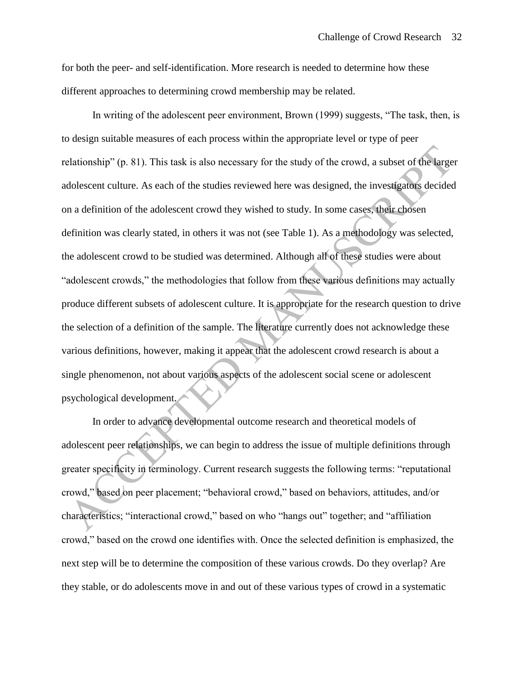for both the peer- and self-identification. More research is needed to determine how these different approaches to determining crowd membership may be related.

In writing of the adolescent peer environment, Brown (1999) suggests, "The task, then, is to design suitable measures of each process within the appropriate level or type of peer relationship" (p. 81). This task is also necessary for the study of the crowd, a subset of the larger adolescent culture. As each of the studies reviewed here was designed, the investigators decided on a definition of the adolescent crowd they wished to study. In some cases, their chosen definition was clearly stated, in others it was not (see Table 1). As a methodology was selected, the adolescent crowd to be studied was determined. Although all of these studies were about "adolescent crowds," the methodologies that follow from these various definitions may actually produce different subsets of adolescent culture. It is appropriate for the research question to drive the selection of a definition of the sample. The literature currently does not acknowledge these various definitions, however, making it appear that the adolescent crowd research is about a single phenomenon, not about various aspects of the adolescent social scene or adolescent psychological development.

In order to advance developmental outcome research and theoretical models of adolescent peer relationships, we can begin to address the issue of multiple definitions through greater specificity in terminology. Current research suggests the following terms: "reputational crowd," based on peer placement; "behavioral crowd," based on behaviors, attitudes, and/or characteristics; "interactional crowd," based on who "hangs out" together; and "affiliation crowd," based on the crowd one identifies with. Once the selected definition is emphasized, the next step will be to determine the composition of these various crowds. Do they overlap? Are they stable, or do adolescents move in and out of these various types of crowd in a systematic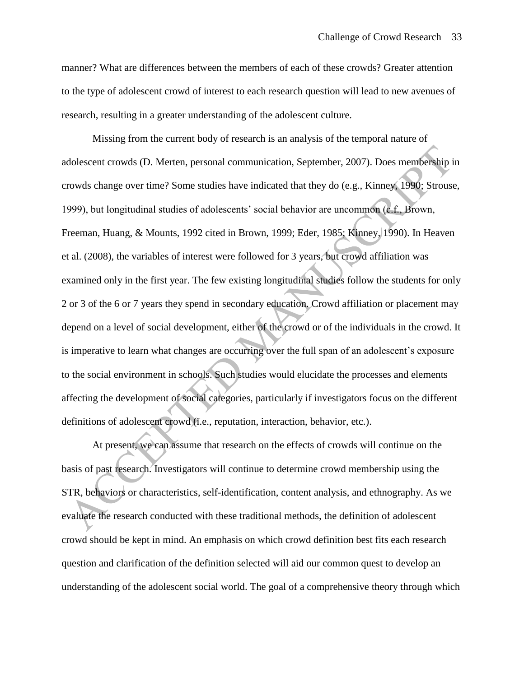manner? What are differences between the members of each of these crowds? Greater attention to the type of adolescent crowd of interest to each research question will lead to new avenues of research, resulting in a greater understanding of the adolescent culture.

Missing from the current body of research is an analysis of the temporal nature of adolescent crowds (D. Merten, personal communication, September, 2007). Does membership in crowds change over time? Some studies have indicated that they do (e.g., Kinney, 1990; Strouse, 1999), but longitudinal studies of adolescents' social behavior are uncommon (c.f., Brown, Freeman, Huang, & Mounts, 1992 cited in Brown, 1999; Eder, 1985; Kinney, 1990). In Heaven et al. (2008), the variables of interest were followed for 3 years, but crowd affiliation was examined only in the first year. The few existing longitudinal studies follow the students for only 2 or 3 of the 6 or 7 years they spend in secondary education. Crowd affiliation or placement may depend on a level of social development, either of the crowd or of the individuals in the crowd. It is imperative to learn what changes are occurring over the full span of an adolescent's exposure to the social environment in schools. Such studies would elucidate the processes and elements affecting the development of social categories, particularly if investigators focus on the different definitions of adolescent crowd (i.e., reputation, interaction, behavior, etc.).

At present, we can assume that research on the effects of crowds will continue on the basis of past research. Investigators will continue to determine crowd membership using the STR, behaviors or characteristics, self-identification, content analysis, and ethnography. As we evaluate the research conducted with these traditional methods, the definition of adolescent crowd should be kept in mind. An emphasis on which crowd definition best fits each research question and clarification of the definition selected will aid our common quest to develop an understanding of the adolescent social world. The goal of a comprehensive theory through which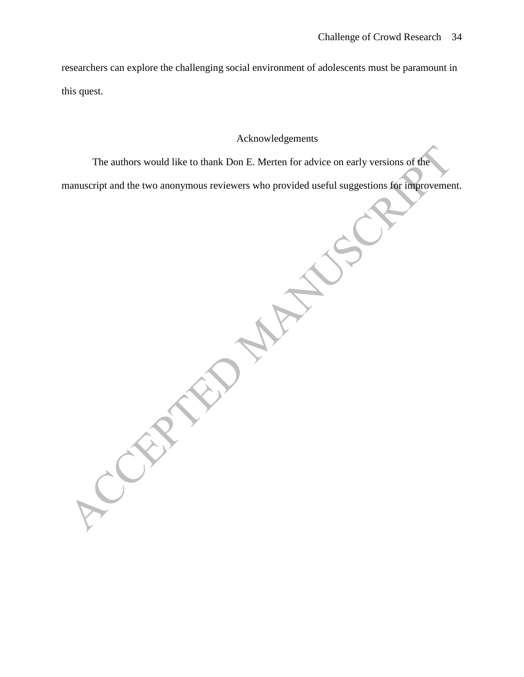researchers can explore the challenging social environment of adolescents must be paramount in this quest.

### Acknowledgements

The authors would like to thank Don E. Merten for advice on early versions of the

manuscript and the two anonymous reviewers who provided useful suggestions for improvement.

A SSC R.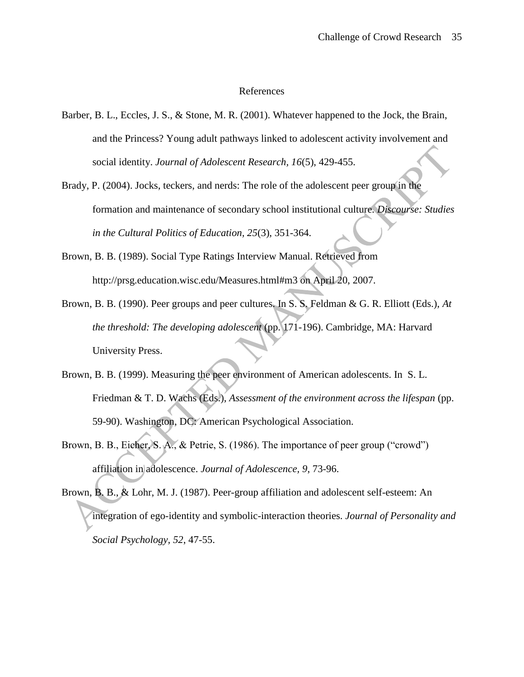#### References

- Barber, B. L., Eccles, J. S., & Stone, M. R. (2001). Whatever happened to the Jock, the Brain, and the Princess? Young adult pathways linked to adolescent activity involvement and social identity. *Journal of Adolescent Research, 16*(5), 429-455.
- Brady, P. (2004). Jocks, teckers, and nerds: The role of the adolescent peer group in the formation and maintenance of secondary school institutional culture. *Discourse: Studies in the Cultural Politics of Education, 25*(3), 351-364.
- Brown, B. B. (1989). Social Type Ratings Interview Manual. Retrieved from http://prsg.education.wisc.edu/Measures.html#m3 on April 20, 2007.
- Brown, B. B. (1990). Peer groups and peer cultures. In S. S. Feldman & G. R. Elliott (Eds.), *At the threshold: The developing adolescent* (pp. 171-196). Cambridge, MA: Harvard University Press.
- Brown, B. B. (1999). Measuring the peer environment of American adolescents. In S. L. Friedman & T. D. Wachs (Eds.), *Assessment of the environment across the lifespan* (pp. 59-90). Washington, DC: American Psychological Association.
- Brown, B. B., Eicher, S. A., & Petrie, S. (1986). The importance of peer group ("crowd") affiliation in adolescence. *Journal of Adolescence, 9*, 73-96.
- Brown, B. B., & Lohr, M. J. (1987). Peer-group affiliation and adolescent self-esteem: An integration of ego-identity and symbolic-interaction theories. *Journal of Personality and Social Psychology, 52*, 47-55.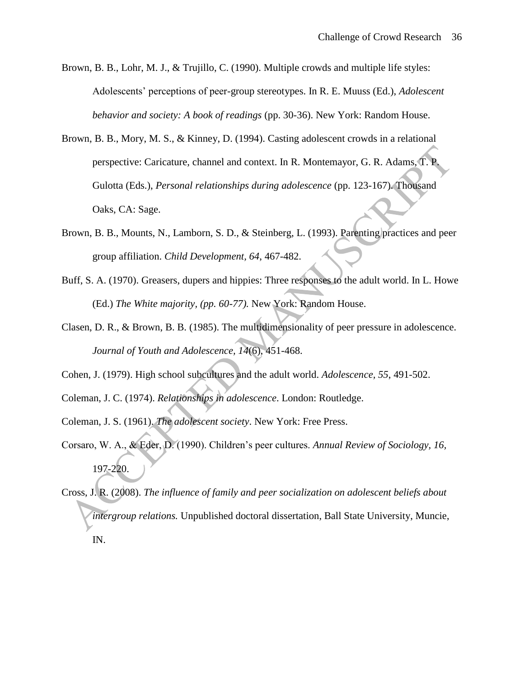- Brown, B. B., Lohr, M. J., & Trujillo, C. (1990). Multiple crowds and multiple life styles: Adolescents' perceptions of peer-group stereotypes. In R. E. Muuss (Ed.), *Adolescent behavior and society: A book of readings* (pp. 30-36). New York: Random House.
- Brown, B. B., Mory, M. S., & Kinney, D. (1994). Casting adolescent crowds in a relational perspective: Caricature, channel and context. In R. Montemayor, G. R. Adams, T. P. Gulotta (Eds.), *Personal relationships during adolescence* (pp. 123-167). Thousand Oaks, CA: Sage.
- Brown, B. B., Mounts, N., Lamborn, S. D., & Steinberg, L. (1993). Parenting practices and peer group affiliation. *Child Development, 64*, 467-482.
- Buff, S. A. (1970). Greasers, dupers and hippies: Three responses to the adult world. In L. Howe (Ed.) *The White majority, (pp. 60-77).* New York: Random House.
- Clasen, D. R., & Brown, B. B. (1985). The multidimensionality of peer pressure in adolescence. *Journal of Youth and Adolescence, 14*(6), 451-468.
- Cohen, J. (1979). High school subcultures and the adult world. *Adolescence, 55*, 491-502.
- Coleman, J. C. (1974). *Relationships in adolescence*. London: Routledge.
- Coleman, J. S. (1961). *The adolescent society*. New York: Free Press.
- Corsaro, W. A., & Eder, D. (1990). Children's peer cultures. *Annual Review of Sociology, 16,*  197-220.

Cross, J. R. (2008). *The influence of family and peer socialization on adolescent beliefs about intergroup relations.* Unpublished doctoral dissertation, Ball State University, Muncie, IN.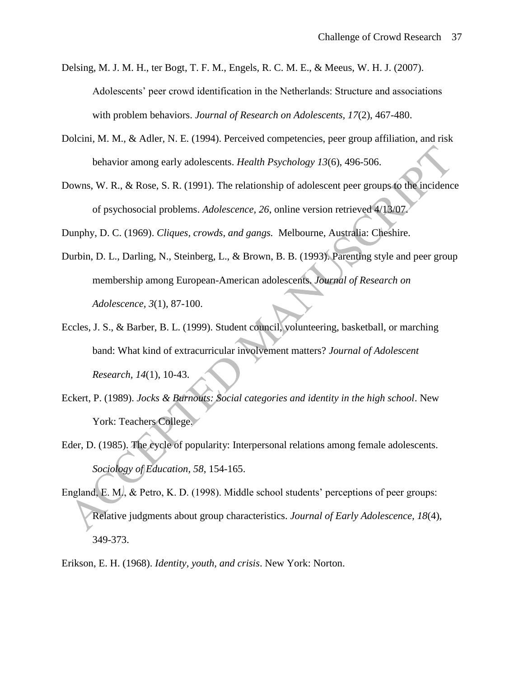- Delsing, M. J. M. H., ter Bogt, T. F. M., Engels, R. C. M. E., & Meeus, W. H. J. (2007). Adolescents' peer crowd identification in the Netherlands: Structure and associations with problem behaviors. *Journal of Research on Adolescents, 17*(2), 467-480.
- Dolcini, M. M., & Adler, N. E. (1994). Perceived competencies, peer group affiliation, and risk behavior among early adolescents. *Health Psychology 13*(6), 496-506.
- Downs, W. R., & Rose, S. R. (1991). The relationship of adolescent peer groups to the incidence of psychosocial problems. *Adolescence, 26*, online version retrieved 4/13/07.

Dunphy, D. C. (1969). *Cliques, crowds, and gangs.* Melbourne, Australia: Cheshire.

- Durbin, D. L., Darling, N., Steinberg, L., & Brown, B. B. (1993). Parenting style and peer group membership among European-American adolescents. *Journal of Research on Adolescence, 3*(1), 87-100.
- Eccles, J. S., & Barber, B. L. (1999). Student council, volunteering, basketball, or marching band: What kind of extracurricular involvement matters? *Journal of Adolescent Research, 14*(1), 10-43.
- Eckert, P. (1989). *Jocks & Burnouts: Social categories and identity in the high school*. New York: Teachers College.
- Eder, D. (1985). The cycle of popularity: Interpersonal relations among female adolescents. *Sociology of Education, 58*, 154-165.
- England, E. M., & Petro, K. D. (1998). Middle school students' perceptions of peer groups: Relative judgments about group characteristics. *Journal of Early Adolescence, 18*(4), 349-373.
- Erikson, E. H. (1968). *Identity, youth, and crisis*. New York: Norton.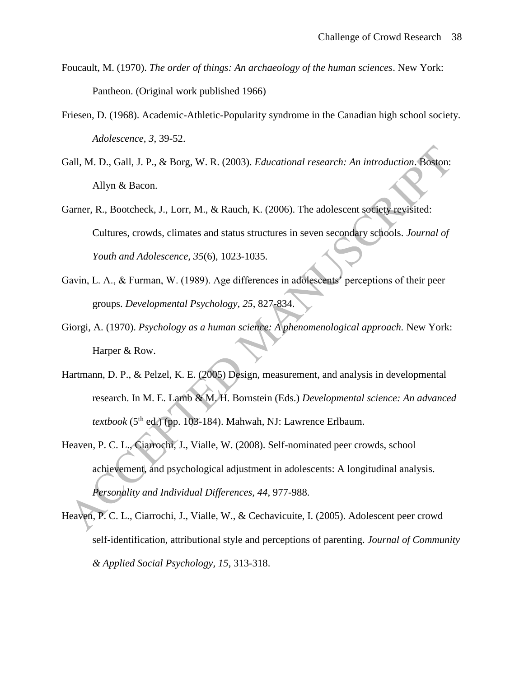- Foucault, M. (1970). *The order of things: An archaeology of the human sciences*. New York: Pantheon. (Original work published 1966)
- Friesen, D. (1968). Academic-Athletic-Popularity syndrome in the Canadian high school society. *Adolescence, 3*, 39-52.
- Gall, M. D., Gall, J. P., & Borg, W. R. (2003). *Educational research: An introduction*. Boston: Allyn & Bacon.
- Garner, R., Bootcheck, J., Lorr, M., & Rauch, K. (2006). The adolescent society revisited: Cultures, crowds, climates and status structures in seven secondary schools. *Journal of Youth and Adolescence, 35*(6), 1023-1035.
- Gavin, L. A., & Furman, W. (1989). Age differences in adolescents' perceptions of their peer groups. *Developmental Psychology, 25*, 827-834.
- Giorgi, A. (1970). *Psychology as a human science: A phenomenological approach.* New York: Harper & Row.
- Hartmann, D. P., & Pelzel, K. E. (2005) Design, measurement, and analysis in developmental research. In M. E. Lamb & M. H. Bornstein (Eds.) *Developmental science: An advanced*   $textbook (5<sup>th</sup> ed.)$  (pp. 103-184). Mahwah, NJ: Lawrence Erlbaum.
- Heaven, P. C. L., Ciarrochi, J., Vialle, W. (2008). Self-nominated peer crowds, school achievement, and psychological adjustment in adolescents: A longitudinal analysis. *Personality and Individual Differences, 44*, 977-988.
- Heaven, P. C. L., Ciarrochi, J., Vialle, W., & Cechavicuite, I. (2005). Adolescent peer crowd self-identification, attributional style and perceptions of parenting. *Journal of Community & Applied Social Psychology, 15*, 313-318.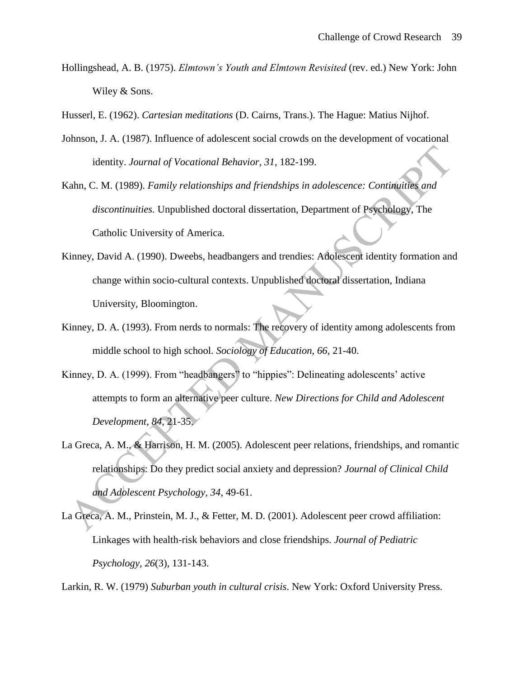- Hollingshead, A. B. (1975). *Elmtown's Youth and Elmtown Revisited* (rev. ed.) New York: John Wiley & Sons.
- Husserl, E. (1962). *Cartesian meditations* (D. Cairns, Trans.). The Hague: Matius Nijhof.
- Johnson, J. A. (1987). Influence of adolescent social crowds on the development of vocational identity. *Journal of Vocational Behavior, 31*, 182-199.
- Kahn, C. M. (1989). *Family relationships and friendships in adolescence: Continuities and discontinuities.* Unpublished doctoral dissertation, Department of Psychology, The Catholic University of America.
- Kinney, David A. (1990). Dweebs, headbangers and trendies: Adolescent identity formation and change within socio-cultural contexts. Unpublished doctoral dissertation, Indiana University, Bloomington.
- Kinney, D. A. (1993). From nerds to normals: The recovery of identity among adolescents from middle school to high school. *Sociology of Education, 66*, 21-40.
- Kinney, D. A. (1999). From "headbangers" to "hippies": Delineating adolescents' active attempts to form an alternative peer culture. *New Directions for Child and Adolescent Development, 84*, 21-35.
- La Greca, A. M., & Harrison, H. M. (2005). Adolescent peer relations, friendships, and romantic relationships: Do they predict social anxiety and depression? *Journal of Clinical Child and Adolescent Psychology, 34*, 49-61.
- La Greca, A. M., Prinstein, M. J., & Fetter, M. D. (2001). Adolescent peer crowd affiliation: Linkages with health-risk behaviors and close friendships. *Journal of Pediatric Psychology, 26*(3), 131-143.

Larkin, R. W. (1979) *Suburban youth in cultural crisis*. New York: Oxford University Press.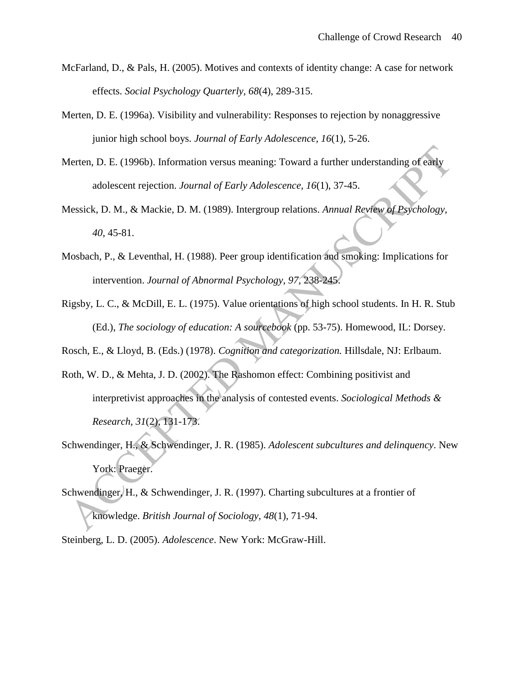- McFarland, D., & Pals, H. (2005). Motives and contexts of identity change: A case for network effects. *Social Psychology Quarterly, 68*(4), 289-315.
- Merten, D. E. (1996a). Visibility and vulnerability: Responses to rejection by nonaggressive junior high school boys. *Journal of Early Adolescence, 16*(1), 5-26.
- Merten, D. E. (1996b). Information versus meaning: Toward a further understanding of early adolescent rejection. *Journal of Early Adolescence, 16*(1), 37-45.
- Messick, D. M., & Mackie, D. M. (1989). Intergroup relations. *Annual Review of Psychology, 40*, 45-81.
- Mosbach, P., & Leventhal, H. (1988). Peer group identification and smoking: Implications for intervention. *Journal of Abnormal Psychology, 97,* 238-245.
- Rigsby, L. C., & McDill, E. L. (1975). Value orientations of high school students. In H. R. Stub (Ed.), *The sociology of education: A sourcebook* (pp. 53-75). Homewood, IL: Dorsey.
- Rosch, E., & Lloyd, B. (Eds.) (1978). *Cognition and categorization.* Hillsdale, NJ: Erlbaum.
- Roth, W. D., & Mehta, J. D. (2002). The Rashomon effect: Combining positivist and interpretivist approaches in the analysis of contested events. *Sociological Methods & Research, 31*(2), 131-173.
- Schwendinger, H., & Schwendinger, J. R. (1985). *Adolescent subcultures and delinquency*. New York: Praeger.
- Schwendinger, H., & Schwendinger, J. R. (1997). Charting subcultures at a frontier of knowledge. *British Journal of Sociology, 48*(1), 71-94.

Steinberg, L. D. (2005). *Adolescence*. New York: McGraw-Hill.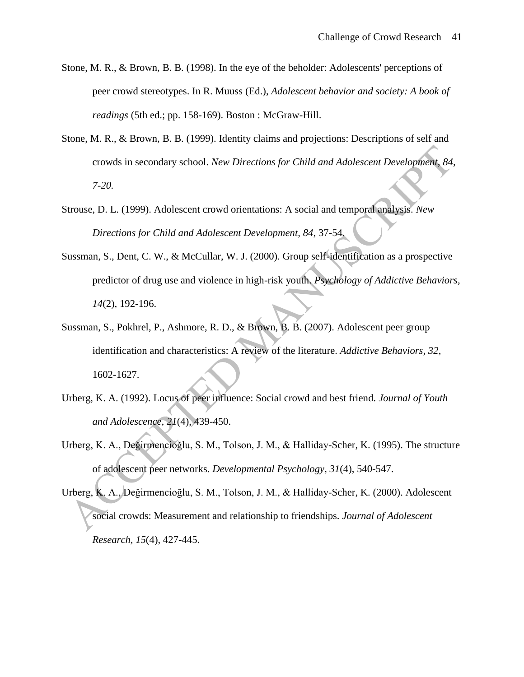- Stone, M. R., & Brown, B. B. (1998). In the eye of the beholder: Adolescents' perceptions of peer crowd stereotypes. In R. Muuss (Ed.), *Adolescent behavior and society: A book of readings* (5th ed.; pp. 158-169). Boston : McGraw-Hill.
- Stone, M. R., & Brown, B. B. (1999). Identity claims and projections: Descriptions of self and crowds in secondary school. *New Directions for Child and Adolescent Development, 84, 7-20.*
- Strouse, D. L. (1999). Adolescent crowd orientations: A social and temporal analysis. *New Directions for Child and Adolescent Development, 84*, 37-54.
- Sussman, S., Dent, C. W., & McCullar, W. J. (2000). Group self-identification as a prospective predictor of drug use and violence in high-risk youth. *Psychology of Addictive Behaviors, 14*(2), 192-196.
- Sussman, S., Pokhrel, P., Ashmore, R. D., & Brown, B. B. (2007). Adolescent peer group identification and characteristics: A review of the literature. *Addictive Behaviors, 32*, 1602-1627.
- Urberg, K. A. (1992). Locus of peer influence: Social crowd and best friend. *Journal of Youth and Adolescence, 21*(4), 439-450.
- Urberg, K. A., Değirmencioğlu, S. M., Tolson, J. M., & Halliday-Scher, K. (1995). The structure of adolescent peer networks. *Developmental Psychology, 31*(4), 540-547.

Urberg, K. A., Değirmencioğlu, S. M., Tolson, J. M., & Halliday-Scher, K. (2000). Adolescent social crowds: Measurement and relationship to friendships. *Journal of Adolescent Research, 15*(4), 427-445.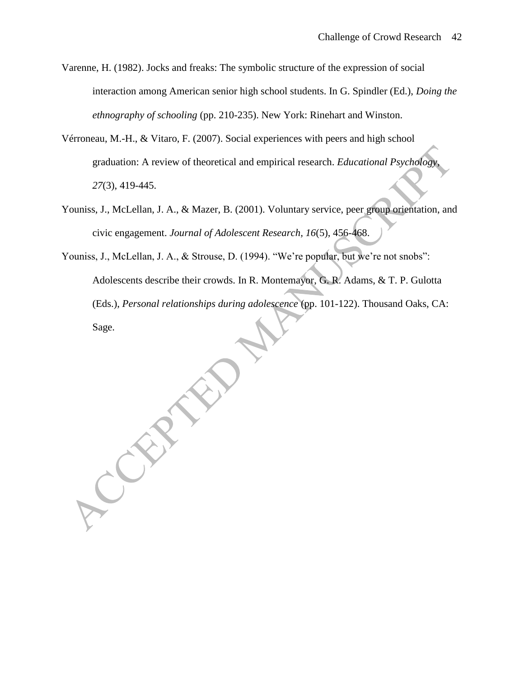- Varenne, H. (1982). Jocks and freaks: The symbolic structure of the expression of social interaction among American senior high school students. In G. Spindler (Ed.), *Doing the ethnography of schooling* (pp. 210-235). New York: Rinehart and Winston.
- Vérroneau, M.-H., & Vitaro, F. (2007). Social experiences with peers and high school graduation: A review of theoretical and empirical research. *Educational Psychology, 27*(3), 419-445.
- Youniss, J., McLellan, J. A., & Mazer, B. (2001). Voluntary service, peer group orientation, and civic engagement. *Journal of Adolescent Research, 16*(5), 456-468.
- Youniss, J., McLellan, J. A., & Strouse, D. (1994). "We're popular, but we're not snobs": Adolescents describe their crowds. In R. Montemayor, G. R. Adams, & T. P. Gulotta (Eds.), *Personal relationships during adolescence* (pp. 101-122). Thousand Oaks, CA: Sage.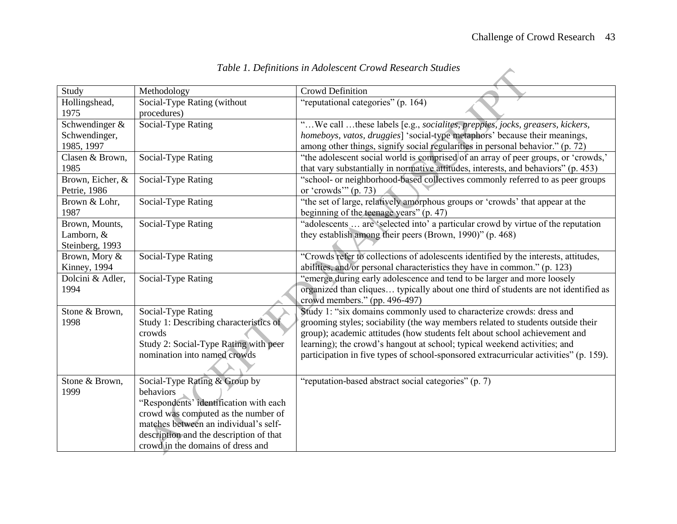| Table 1. Definitions in Adolescent Crowd Research Studies |                                         |                                                                                       |
|-----------------------------------------------------------|-----------------------------------------|---------------------------------------------------------------------------------------|
| Study                                                     | Methodology                             | Crowd Definition                                                                      |
| Hollingshead,                                             | Social-Type Rating (without             | "reputational categories" (p. 164)                                                    |
| 1975                                                      | procedures)                             |                                                                                       |
| Schwendinger &                                            | Social-Type Rating                      | "We call these labels [e.g., socialites, preppies, jocks, greasers, kickers,          |
| Schwendinger,                                             |                                         | homeboys, vatos, druggies] 'social-type metaphors' because their meanings,            |
| 1985, 1997                                                |                                         | among other things, signify social regularities in personal behavior." (p. 72)        |
| Clasen & Brown,                                           | Social-Type Rating                      | "the adolescent social world is comprised of an array of peer groups, or 'crowds,'    |
| 1985                                                      |                                         | that vary substantially in normative attitudes, interests, and behaviors" (p. 453)    |
| Brown, Eicher, &                                          | Social-Type Rating                      | "school- or neighborhood-based collectives commonly referred to as peer groups        |
| Petrie, 1986                                              |                                         | or 'crowds'" $(p. 73)$                                                                |
| Brown & Lohr,                                             | Social-Type Rating                      | "the set of large, relatively amorphous groups or 'crowds' that appear at the         |
| 1987                                                      |                                         | beginning of the teenage years" (p. 47)                                               |
| Brown, Mounts,                                            | Social-Type Rating                      | "adolescents  are 'selected into' a particular crowd by virtue of the reputation      |
| Lamborn, &                                                |                                         | they establish among their peers (Brown, 1990)" (p. 468)                              |
| Steinberg, 1993                                           |                                         |                                                                                       |
| Brown, Mory &                                             | Social-Type Rating                      | "Crowds refer to collections of adolescents identified by the interests, attitudes,   |
| Kinney, 1994                                              |                                         | abilities, and/or personal characteristics they have in common." (p. 123)             |
| Dolcini & Adler,                                          | Social-Type Rating                      | "emerge during early adolescence and tend to be larger and more loosely               |
| 1994                                                      |                                         | organized than cliques typically about one third of students are not identified as    |
|                                                           |                                         | crowd members." (pp. 496-497)                                                         |
| Stone & Brown,                                            | Social-Type Rating                      | Study 1: "six domains commonly used to characterize crowds: dress and                 |
| 1998                                                      | Study 1: Describing characteristics of  | grooming styles; sociability (the way members related to students outside their       |
|                                                           | crowds                                  | group); academic attitudes (how students felt about school achievement and            |
|                                                           | Study 2: Social-Type Rating with peer   | learning); the crowd's hangout at school; typical weekend activities; and             |
|                                                           | nomination into named crowds            | participation in five types of school-sponsored extracurricular activities" (p. 159). |
|                                                           |                                         |                                                                                       |
| Stone & Brown,                                            | Social-Type Rating & Group by           | "reputation-based abstract social categories" (p. 7)                                  |
| 1999                                                      | behaviors                               |                                                                                       |
|                                                           | "Respondents' identification with each  |                                                                                       |
|                                                           | crowd was computed as the number of     |                                                                                       |
|                                                           | matches between an individual's self-   |                                                                                       |
|                                                           | description and the description of that |                                                                                       |
|                                                           | crowd in the domains of dress and       |                                                                                       |

*Table 1. Definitions in Adolescent Crowd Research Studies*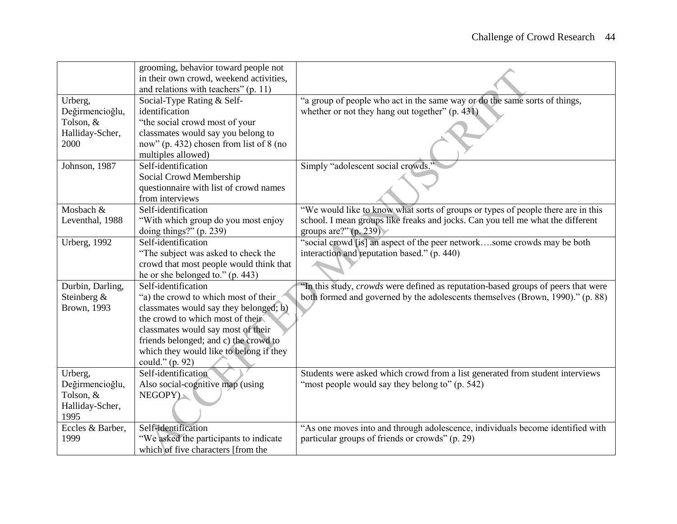|                      | grooming, behavior toward people not<br>in their own crowd, weekend activities,<br>and relations with teachers" (p. 11) |                                                                                                                                                                     |
|----------------------|-------------------------------------------------------------------------------------------------------------------------|---------------------------------------------------------------------------------------------------------------------------------------------------------------------|
| Urberg,              | Social-Type Rating & Self-                                                                                              | "a group of people who act in the same way or do the same sorts of things,                                                                                          |
| Değirmencioğlu,      | identification                                                                                                          | whether or not they hang out together" (p. 431)                                                                                                                     |
| Tolson, &            | "the social crowd most of your                                                                                          |                                                                                                                                                                     |
| Halliday-Scher,      | classmates would say you belong to                                                                                      |                                                                                                                                                                     |
| 2000                 | now" (p. 432) chosen from list of 8 (no                                                                                 |                                                                                                                                                                     |
|                      | multiples allowed)                                                                                                      |                                                                                                                                                                     |
| Johnson, 1987        | Self-identification                                                                                                     | Simply "adolescent social crowds."                                                                                                                                  |
|                      | Social Crowd Membership                                                                                                 |                                                                                                                                                                     |
|                      | questionnaire with list of crowd names                                                                                  |                                                                                                                                                                     |
|                      | from interviews                                                                                                         |                                                                                                                                                                     |
| Mosbach &            | Self-identification                                                                                                     | "We would like to know what sorts of groups or types of people there are in this                                                                                    |
| Leventhal, 1988      | "With which group do you most enjoy"                                                                                    | school. I mean groups like freaks and jocks. Can you tell me what the different                                                                                     |
|                      | doing things?" $(p. 239)$                                                                                               | groups are?" $(p. 239)$                                                                                                                                             |
| <b>Urberg</b> , 1992 | Self-identification                                                                                                     | "social crowd [is] an aspect of the peer networksome crowds may be both                                                                                             |
|                      | "The subject was asked to check the                                                                                     | interaction and reputation based." (p. 440)                                                                                                                         |
|                      | crowd that most people would think that                                                                                 |                                                                                                                                                                     |
|                      |                                                                                                                         |                                                                                                                                                                     |
|                      | he or she belonged to." (p. 443)<br>Self-identification                                                                 |                                                                                                                                                                     |
| Durbin, Darling,     | "a) the crowd to which most of their                                                                                    | "In this study, crowds were defined as reputation-based groups of peers that were<br>both formed and governed by the adolescents themselves (Brown, 1990)." (p. 88) |
| Steinberg &          |                                                                                                                         |                                                                                                                                                                     |
| Brown, 1993          | classmates would say they belonged; b)                                                                                  |                                                                                                                                                                     |
|                      | the crowd to which most of their                                                                                        |                                                                                                                                                                     |
|                      | classmates would say most of their                                                                                      |                                                                                                                                                                     |
|                      | friends belonged; and c) the crowd to                                                                                   |                                                                                                                                                                     |
|                      | which they would like to belong if they                                                                                 |                                                                                                                                                                     |
|                      | could." (p. 92)                                                                                                         |                                                                                                                                                                     |
| Urberg,              | Self-identification                                                                                                     | Students were asked which crowd from a list generated from student interviews                                                                                       |
| Değirmencioğlu,      | Also social-cognitive map (using                                                                                        | "most people would say they belong to" (p. 542)                                                                                                                     |
| Tolson, &            | NEGOPY)                                                                                                                 |                                                                                                                                                                     |
| Halliday-Scher,      |                                                                                                                         |                                                                                                                                                                     |
| 1995                 |                                                                                                                         |                                                                                                                                                                     |
| Eccles & Barber,     | Self-identification                                                                                                     | "As one moves into and through adolescence, individuals become identified with                                                                                      |
| 1999                 | "We asked the participants to indicate                                                                                  | particular groups of friends or crowds" (p. 29)                                                                                                                     |
|                      | which of five characters [from the                                                                                      |                                                                                                                                                                     |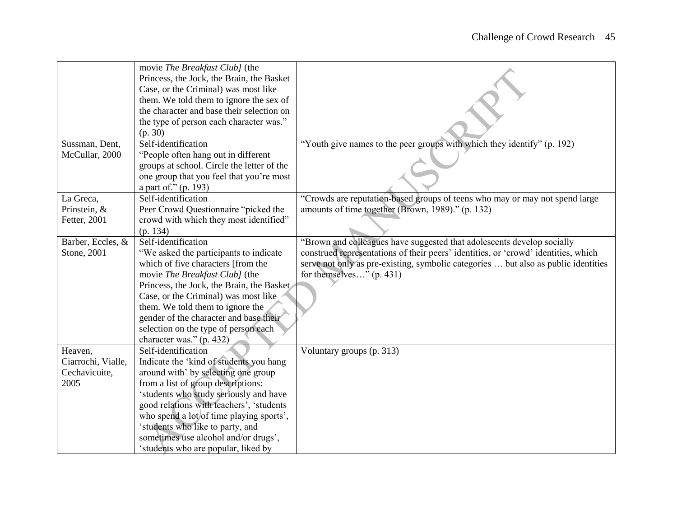|                                                        | movie The Breakfast Club] (the<br>Princess, the Jock, the Brain, the Basket<br>Case, or the Criminal) was most like<br>them. We told them to ignore the sex of<br>the character and base their selection on<br>the type of person each character was."<br>(p. 30)                                                                                                                                |                                                                                                                                                                                                                                                                                |
|--------------------------------------------------------|--------------------------------------------------------------------------------------------------------------------------------------------------------------------------------------------------------------------------------------------------------------------------------------------------------------------------------------------------------------------------------------------------|--------------------------------------------------------------------------------------------------------------------------------------------------------------------------------------------------------------------------------------------------------------------------------|
| Sussman, Dent,<br>McCullar, 2000                       | Self-identification<br>"People often hang out in different<br>groups at school. Circle the letter of the<br>one group that you feel that you're most<br>a part of." $(p. 193)$                                                                                                                                                                                                                   | "Youth give names to the peer groups with which they identify" (p. 192)                                                                                                                                                                                                        |
| La Greca,<br>Prinstein, &<br>Fetter, 2001              | Self-identification<br>Peer Crowd Questionnaire "picked the<br>crowd with which they most identified"<br>(p. 134)                                                                                                                                                                                                                                                                                | "Crowds are reputation-based groups of teens who may or may not spend large<br>amounts of time together (Brown, 1989)." (p. 132)                                                                                                                                               |
| Barber, Eccles, &<br>Stone, 2001                       | Self-identification<br>"We asked the participants to indicate<br>which of five characters [from the<br>movie The Breakfast Club] (the<br>Princess, the Jock, the Brain, the Basket<br>Case, or the Criminal) was most like<br>them. We told them to ignore the<br>gender of the character and base their<br>selection on the type of person each<br>character was." (p. 432)                     | "Brown and colleagues have suggested that adolescents develop socially<br>construed representations of their peers' identities, or 'crowd' identities, which<br>serve not only as pre-existing, symbolic categories  but also as public identities<br>for themselves" (p. 431) |
| Heaven,<br>Ciarrochi, Vialle,<br>Cechavicuite,<br>2005 | Self-identification<br>Indicate the 'kind of students you hang<br>around with' by selecting one group<br>from a list of group descriptions:<br>'students who study seriously and have<br>good relations with teachers', 'students<br>who spend a lot of time playing sports',<br>'students who like to party, and<br>sometimes use alcohol and/or drugs',<br>'students who are popular, liked by | Voluntary groups (p. 313)                                                                                                                                                                                                                                                      |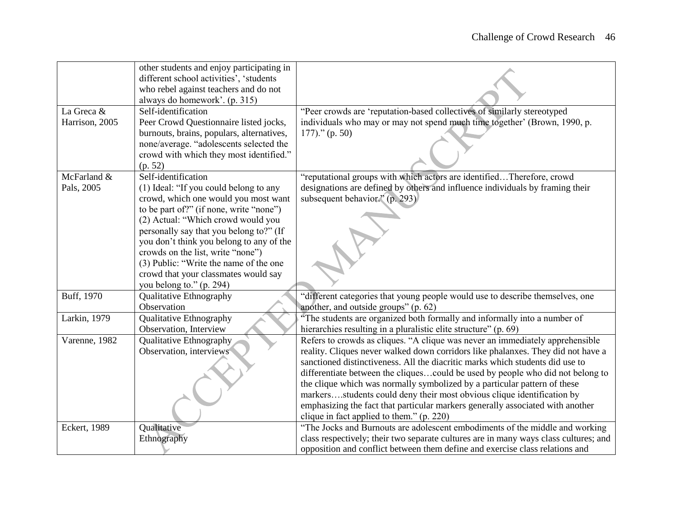|                              | other students and enjoy participating in<br>different school activities', 'students<br>who rebel against teachers and do not<br>always do homework'. (p. 315) |                                                                                                                                                                           |
|------------------------------|----------------------------------------------------------------------------------------------------------------------------------------------------------------|---------------------------------------------------------------------------------------------------------------------------------------------------------------------------|
| La Greca &<br>Harrison, 2005 | Self-identification<br>Peer Crowd Questionnaire listed jocks,<br>burnouts, brains, populars, alternatives,                                                     | "Peer crowds are 'reputation-based collectives of similarly stereotyped<br>individuals who may or may not spend much time together' (Brown, 1990, p.<br>$177)$ ." (p. 50) |
|                              | none/average. "adolescents selected the<br>crowd with which they most identified."                                                                             |                                                                                                                                                                           |
|                              | (p. 52)                                                                                                                                                        |                                                                                                                                                                           |
| McFarland &                  | Self-identification                                                                                                                                            | "reputational groups with which actors are identifiedTherefore, crowd                                                                                                     |
| Pals, 2005                   | (1) Ideal: "If you could belong to any                                                                                                                         | designations are defined by others and influence individuals by framing their                                                                                             |
|                              | crowd, which one would you most want                                                                                                                           | subsequent behavior." (p. 293)                                                                                                                                            |
|                              | to be part of?" (if none, write "none")                                                                                                                        |                                                                                                                                                                           |
|                              | (2) Actual: "Which crowd would you                                                                                                                             |                                                                                                                                                                           |
|                              | personally say that you belong to?" (If                                                                                                                        |                                                                                                                                                                           |
|                              | you don't think you belong to any of the                                                                                                                       |                                                                                                                                                                           |
|                              | crowds on the list, write "none")                                                                                                                              |                                                                                                                                                                           |
|                              | (3) Public: "Write the name of the one                                                                                                                         |                                                                                                                                                                           |
|                              | crowd that your classmates would say                                                                                                                           |                                                                                                                                                                           |
|                              | you belong to." (p. 294)                                                                                                                                       |                                                                                                                                                                           |
| Buff, 1970                   | Qualitative Ethnography                                                                                                                                        | "different categories that young people would use to describe themselves, one                                                                                             |
|                              | Observation                                                                                                                                                    | another, and outside groups" (p. 62)                                                                                                                                      |
| Larkin, 1979                 | Qualitative Ethnography                                                                                                                                        | "The students are organized both formally and informally into a number of                                                                                                 |
|                              | Observation, Interview                                                                                                                                         | hierarchies resulting in a pluralistic elite structure" (p. 69)                                                                                                           |
| Varenne, 1982                | Qualitative Ethnography<br>Observation, interviews                                                                                                             | Refers to crowds as cliques. "A clique was never an immediately apprehensible                                                                                             |
|                              |                                                                                                                                                                | reality. Cliques never walked down corridors like phalanxes. They did not have a<br>sanctioned distinctiveness. All the diacritic marks which students did use to         |
|                              |                                                                                                                                                                | differentiate between the cliquescould be used by people who did not belong to                                                                                            |
|                              |                                                                                                                                                                | the clique which was normally symbolized by a particular pattern of these                                                                                                 |
|                              |                                                                                                                                                                | markersstudents could deny their most obvious clique identification by                                                                                                    |
|                              |                                                                                                                                                                | emphasizing the fact that particular markers generally associated with another                                                                                            |
|                              |                                                                                                                                                                | clique in fact applied to them." (p. 220)                                                                                                                                 |
| <b>Eckert</b> , 1989         | Qualitative                                                                                                                                                    | "The Jocks and Burnouts are adolescent embodiments of the middle and working                                                                                              |
|                              | Ethnography                                                                                                                                                    | class respectively; their two separate cultures are in many ways class cultures; and                                                                                      |
|                              |                                                                                                                                                                | opposition and conflict between them define and exercise class relations and                                                                                              |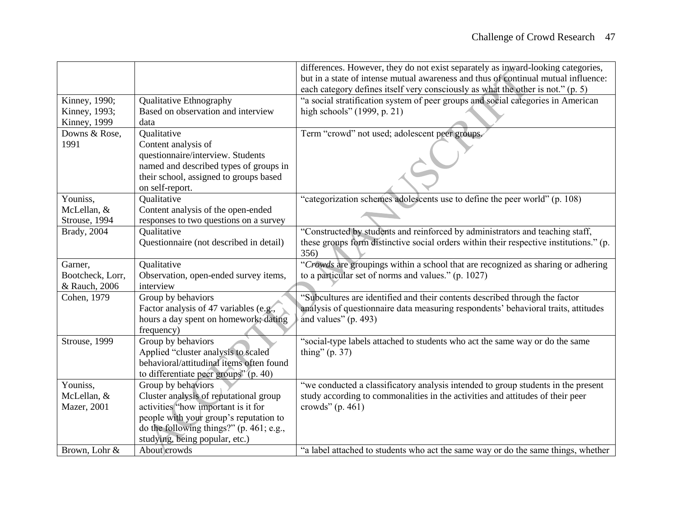|                     |                                          | differences. However, they do not exist separately as inward-looking categories,<br>but in a state of intense mutual awareness and thus of continual mutual influence:<br>each category defines itself very consciously as what the other is not." (p. 5) |
|---------------------|------------------------------------------|-----------------------------------------------------------------------------------------------------------------------------------------------------------------------------------------------------------------------------------------------------------|
| Kinney, 1990;       | Qualitative Ethnography                  | "a social stratification system of peer groups and social categories in American                                                                                                                                                                          |
| Kinney, 1993;       | Based on observation and interview       | high schools" (1999, p. 21)                                                                                                                                                                                                                               |
| Kinney, 1999        | data                                     |                                                                                                                                                                                                                                                           |
| Downs & Rose,       | Qualitative                              | Term "crowd" not used; adolescent peer groups.                                                                                                                                                                                                            |
| 1991                | Content analysis of                      |                                                                                                                                                                                                                                                           |
|                     | questionnaire/interview. Students        |                                                                                                                                                                                                                                                           |
|                     | named and described types of groups in   |                                                                                                                                                                                                                                                           |
|                     | their school, assigned to groups based   |                                                                                                                                                                                                                                                           |
|                     | on self-report.                          |                                                                                                                                                                                                                                                           |
| Youniss,            | Qualitative                              | "categorization schemes adolescents use to define the peer world" (p. 108)                                                                                                                                                                                |
| McLellan, &         | Content analysis of the open-ended       |                                                                                                                                                                                                                                                           |
| Strouse, 1994       | responses to two questions on a survey   |                                                                                                                                                                                                                                                           |
| <b>Brady</b> , 2004 | Qualitative                              | "Constructed by students and reinforced by administrators and teaching staff,                                                                                                                                                                             |
|                     | Questionnaire (not described in detail)  | these groups form distinctive social orders within their respective institutions." (p.<br>356)                                                                                                                                                            |
| Garner,             | Qualitative                              | "Crowds are groupings within a school that are recognized as sharing or adhering                                                                                                                                                                          |
| Bootcheck, Lorr,    | Observation, open-ended survey items,    | to a particular set of norms and values." (p. 1027)                                                                                                                                                                                                       |
| & Rauch, 2006       | interview                                |                                                                                                                                                                                                                                                           |
| Cohen, 1979         | Group by behaviors                       | "Subcultures are identified and their contents described through the factor                                                                                                                                                                               |
|                     | Factor analysis of 47 variables (e.g.,   | analysis of questionnaire data measuring respondents' behavioral traits, attitudes                                                                                                                                                                        |
|                     | hours a day spent on homework; dating    | and values" (p. 493)                                                                                                                                                                                                                                      |
|                     | frequency)                               |                                                                                                                                                                                                                                                           |
| Strouse, 1999       |                                          |                                                                                                                                                                                                                                                           |
|                     | Group by behaviors                       | "social-type labels attached to students who act the same way or do the same                                                                                                                                                                              |
|                     | Applied "cluster analysis to scaled      | thing" $(p. 37)$                                                                                                                                                                                                                                          |
|                     | behavioral/attitudinal items often found |                                                                                                                                                                                                                                                           |
|                     | to differentiate peer groups" (p. 40)    |                                                                                                                                                                                                                                                           |
| Youniss,            | Group by behaviors                       | "we conducted a classificatory analysis intended to group students in the present                                                                                                                                                                         |
| McLellan, &         | Cluster analysis of reputational group   | study according to commonalities in the activities and attitudes of their peer                                                                                                                                                                            |
| Mazer, 2001         | activities "how important is it for      | crowds" $(p. 461)$                                                                                                                                                                                                                                        |
|                     | people with your group's reputation to   |                                                                                                                                                                                                                                                           |
|                     | do the following things?" (p. 461; e.g., |                                                                                                                                                                                                                                                           |
| Brown, Lohr &       | studying, being popular, etc.)           | "a label attached to students who act the same way or do the same things, whether                                                                                                                                                                         |